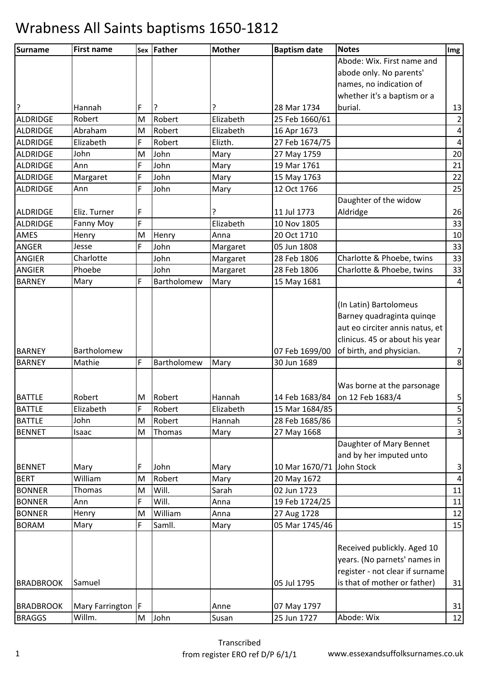| Surname          | <b>First name</b>      |   | Sex Father  | <b>Mother</b> | <b>Baptism date</b> | <b>Notes</b>                    | Img                     |
|------------------|------------------------|---|-------------|---------------|---------------------|---------------------------------|-------------------------|
|                  |                        |   |             |               |                     | Abode: Wix. First name and      |                         |
|                  |                        |   |             |               |                     | abode only. No parents'         |                         |
|                  |                        |   |             |               |                     | names, no indication of         |                         |
|                  |                        |   |             |               |                     | whether it's a baptism or a     |                         |
| ?                | Hannah                 | F | <u>  ?</u>  |               | 28 Mar 1734         | burial.                         | 13                      |
| ALDRIDGE         | Robert                 | M | Robert      | Elizabeth     | 25 Feb 1660/61      |                                 | $\overline{2}$          |
| <b>ALDRIDGE</b>  | Abraham                | M | Robert      | Elizabeth     | 16 Apr 1673         |                                 | $\vert 4 \vert$         |
| ALDRIDGE         | Elizabeth              | F | Robert      | Elizth.       | 27 Feb 1674/75      |                                 | $\overline{4}$          |
| ALDRIDGE         | John                   | M | John        | Mary          | 27 May 1759         |                                 | 20                      |
| ALDRIDGE         | Ann                    | F | John        | Mary          | 19 Mar 1761         |                                 | 21                      |
| <b>ALDRIDGE</b>  | Margaret               | F | John        | Mary          | 15 May 1763         |                                 | 22                      |
| ALDRIDGE         | Ann                    | F | John        | Mary          | 12 Oct 1766         |                                 | 25                      |
|                  |                        |   |             |               |                     | Daughter of the widow           |                         |
| ALDRIDGE         | Eliz. Turner           | F |             |               | 11 Jul 1773         | Aldridge                        | 26                      |
| ALDRIDGE         | Fanny Moy              | F |             | Elizabeth     | 10 Nov 1805         |                                 | 33                      |
| AMES             | Henry                  | M | Henry       | Anna          | 20 Oct 1710         |                                 | 10                      |
| <b>ANGER</b>     | Jesse                  | F | John        | Margaret      | 05 Jun 1808         |                                 | 33                      |
| <b>ANGIER</b>    | Charlotte              |   | John        | Margaret      | 28 Feb 1806         | Charlotte & Phoebe, twins       | 33                      |
| <b>ANGIER</b>    | Phoebe                 |   | John        | Margaret      | 28 Feb 1806         | Charlotte & Phoebe, twins       | 33                      |
| <b>BARNEY</b>    | Mary                   | F | Bartholomew | Mary          | 15 May 1681         |                                 | $\vert 4 \vert$         |
|                  |                        |   |             |               |                     |                                 |                         |
|                  |                        |   |             |               |                     | (In Latin) Bartolomeus          |                         |
|                  |                        |   |             |               |                     | Barney quadraginta quinqe       |                         |
|                  |                        |   |             |               |                     | aut eo circiter annis natus, et |                         |
|                  |                        |   |             |               |                     | clinicus. 45 or about his year  |                         |
| <b>BARNEY</b>    | Bartholomew            |   |             |               | 07 Feb 1699/00      | of birth, and physician.        | $\overline{7}$          |
| <b>BARNEY</b>    | Mathie                 | F | Bartholomew | Mary          | 30 Jun 1689         |                                 | $\bf 8$                 |
|                  |                        |   |             |               |                     |                                 |                         |
|                  |                        |   |             |               |                     | Was borne at the parsonage      |                         |
| <b>BATTLE</b>    | Robert                 | M | Robert      | Hannah        | 14 Feb 1683/84      | on 12 Feb 1683/4                | $\overline{\mathbf{5}}$ |
| <b>BATTLE</b>    | Elizabeth              | F | Robert      | Elizabeth     | 15 Mar 1684/85      |                                 | 5                       |
| <b>BATTLE</b>    | John                   | M | Robert      | Hannah        | 28 Feb 1685/86      |                                 | $\mathbf{5}$            |
| <b>BENNET</b>    | Isaac                  | M | Thomas      | Mary          | 27 May 1668         |                                 | $\overline{3}$          |
|                  |                        |   |             |               |                     | Daughter of Mary Bennet         |                         |
|                  |                        |   |             |               |                     | and by her imputed unto         |                         |
| <b>BENNET</b>    | Mary                   | F | John        | Mary          | 10 Mar 1670/71      | John Stock                      | 3                       |
| <b>BERT</b>      | William                | M | Robert      | Mary          | 20 May 1672         |                                 | $\vert 4 \vert$         |
| <b>BONNER</b>    | Thomas                 | M | Will.       | Sarah         | 02 Jun 1723         |                                 | 11                      |
| <b>BONNER</b>    | Ann                    | F | Will.       | Anna          | 19 Feb 1724/25      |                                 | 11                      |
| <b>BONNER</b>    | Henry                  | M | William     | Anna          | 27 Aug 1728         |                                 | 12                      |
| <b>BORAM</b>     | Mary                   | F | Samll.      | Mary          | 05 Mar 1745/46      |                                 | 15                      |
|                  |                        |   |             |               |                     |                                 |                         |
|                  |                        |   |             |               |                     | Received publickly. Aged 10     |                         |
|                  |                        |   |             |               |                     | years. (No parnets' names in    |                         |
|                  |                        |   |             |               |                     | register - not clear if surname |                         |
| <b>BRADBROOK</b> | Samuel                 |   |             |               | 05 Jul 1795         | is that of mother or father)    | 31                      |
|                  |                        |   |             |               |                     |                                 |                         |
| <b>BRADBROOK</b> | <b>Mary Farrington</b> | F |             | Anne          | 07 May 1797         |                                 | 31                      |
| <b>BRAGGS</b>    | Willm.                 | M | John        | Susan         | 25 Jun 1727         | Abode: Wix                      | 12                      |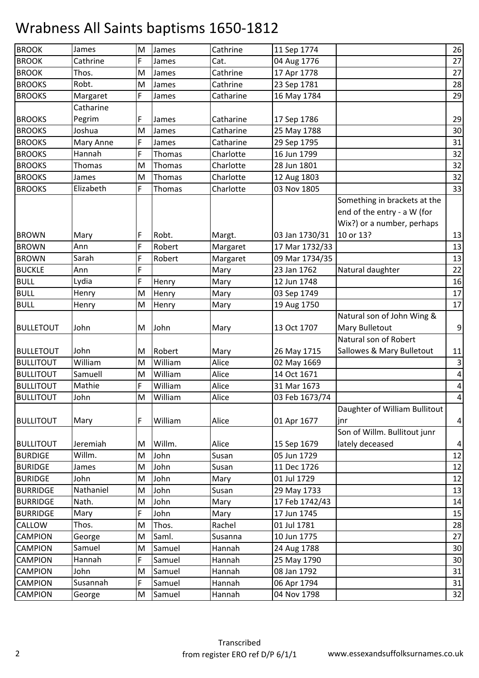| <b>BROOK</b>     | James         | M | James   | Cathrine  | 11 Sep 1774    |                               | 26               |
|------------------|---------------|---|---------|-----------|----------------|-------------------------------|------------------|
| <b>BROOK</b>     | Cathrine      | F | James   | Cat.      | 04 Aug 1776    |                               | 27               |
| <b>BROOK</b>     | Thos.         | M | James   | Cathrine  | 17 Apr 1778    |                               | 27               |
| <b>BROOKS</b>    | Robt.         | M | James   | Cathrine  | 23 Sep 1781    |                               | 28               |
| <b>BROOKS</b>    | Margaret      | F | James   | Catharine | 16 May 1784    |                               | 29               |
|                  | Catharine     |   |         |           |                |                               |                  |
| <b>BROOKS</b>    | Pegrim        | F | James   | Catharine | 17 Sep 1786    |                               | 29               |
| <b>BROOKS</b>    | Joshua        | M | James   | Catharine | 25 May 1788    |                               | 30               |
| <b>BROOKS</b>    | Mary Anne     | F | James   | Catharine | 29 Sep 1795    |                               | 31               |
| <b>BROOKS</b>    | Hannah        | F | Thomas  | Charlotte | 16 Jun 1799    |                               | 32               |
| <b>BROOKS</b>    | <b>Thomas</b> | M | Thomas  | Charlotte | 28 Jun 1801    |                               | 32               |
| <b>BROOKS</b>    | James         | M | Thomas  | Charlotte | 12 Aug 1803    |                               | 32               |
| <b>BROOKS</b>    | Elizabeth     | F | Thomas  | Charlotte | 03 Nov 1805    |                               | 33               |
|                  |               |   |         |           |                | Something in brackets at the  |                  |
|                  |               |   |         |           |                | end of the entry - a W (for   |                  |
|                  |               |   |         |           |                | Wix?) or a number, perhaps    |                  |
| <b>BROWN</b>     | Mary          | F | Robt.   | Margt.    | 03 Jan 1730/31 | 10 or 13?                     | 13               |
| <b>BROWN</b>     | Ann           | F | Robert  | Margaret  | 17 Mar 1732/33 |                               | 13               |
| <b>BROWN</b>     | Sarah         | F | Robert  | Margaret  | 09 Mar 1734/35 |                               | 13               |
| <b>BUCKLE</b>    | Ann           | F |         | Mary      | 23 Jan 1762    | Natural daughter              | 22               |
| <b>BULL</b>      | Lydia         | F | Henry   | Mary      | 12 Jun 1748    |                               | 16               |
| <b>BULL</b>      | Henry         | M | Henry   | Mary      | 03 Sep 1749    |                               | 17               |
| <b>BULL</b>      | Henry         | M | Henry   | Mary      | 19 Aug 1750    |                               | 17               |
|                  |               |   |         |           |                | Natural son of John Wing &    |                  |
| <b>BULLETOUT</b> | John          | M | John    | Mary      | 13 Oct 1707    | Mary Bulletout                | $\boldsymbol{9}$ |
|                  |               |   |         |           |                | Natural son of Robert         |                  |
| <b>BULLETOUT</b> | John          | M | Robert  | Mary      | 26 May 1715    | Sallowes & Mary Bulletout     | 11               |
| <b>BULLITOUT</b> | William       | M | William | Alice     | 02 May 1669    |                               | $\mathbf{3}$     |
| <b>BULLITOUT</b> | Samuell       | M | William | Alice     | 14 Oct 1671    |                               | $\pmb{4}$        |
| <b>BULLITOUT</b> | Mathie        | F | William | Alice     | 31 Mar 1673    |                               | $\overline{a}$   |
| <b>BULLITOUT</b> | John          | M | William | Alice     | 03 Feb 1673/74 |                               | $\pmb{4}$        |
|                  |               |   |         |           |                | Daughter of William Bullitout |                  |
| <b>BULLITOUT</b> | Mary          | F | William | Alice     | 01 Apr 1677    | jnr                           | $\pmb{4}$        |
|                  |               |   |         |           |                | Son of Willm. Bullitout junr  |                  |
| <b>BULLITOUT</b> | Jeremiah      | M | Willm.  | Alice     | 15 Sep 1679    | lately deceased               | $\overline{a}$   |
| <b>BURDIGE</b>   | Willm.        | M | John    | Susan     | 05 Jun 1729    |                               | 12               |
| <b>BURIDGE</b>   | James         | M | John    | Susan     | 11 Dec 1726    |                               | 12               |
| <b>BURIDGE</b>   | John          | M | John    | Mary      | 01 Jul 1729    |                               | 12               |
| <b>BURRIDGE</b>  | Nathaniel     | M | John    | Susan     | 29 May 1733    |                               | 13               |
| <b>BURRIDGE</b>  | Nath.         | M | John    | Mary      | 17 Feb 1742/43 |                               | 14               |
| <b>BURRIDGE</b>  | Mary          | F | John    | Mary      | 17 Jun 1745    |                               | 15               |
| CALLOW           | Thos.         | M | Thos.   | Rachel    | 01 Jul 1781    |                               | 28               |
| <b>CAMPION</b>   | George        | M | Saml.   | Susanna   | 10 Jun 1775    |                               | 27               |
| <b>CAMPION</b>   | Samuel        | M | Samuel  | Hannah    | 24 Aug 1788    |                               | 30               |
| <b>CAMPION</b>   | Hannah        | F | Samuel  | Hannah    | 25 May 1790    |                               | 30               |
| <b>CAMPION</b>   | John          | M | Samuel  | Hannah    | 08 Jan 1792    |                               | 31               |
| <b>CAMPION</b>   | Susannah      | F | Samuel  | Hannah    | 06 Apr 1794    |                               | 31               |
| <b>CAMPION</b>   | George        | M | Samuel  | Hannah    | 04 Nov 1798    |                               | 32               |
|                  |               |   |         |           |                |                               |                  |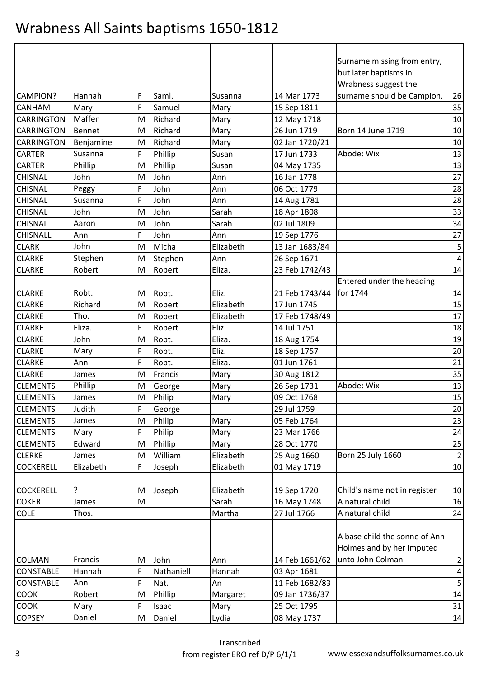|                   |               |   |            |           |                | Surname missing from entry,   |                |
|-------------------|---------------|---|------------|-----------|----------------|-------------------------------|----------------|
|                   |               |   |            |           |                | but later baptisms in         |                |
|                   |               |   |            |           |                | Wrabness suggest the          |                |
| <b>CAMPION?</b>   | Hannah        | F | Saml.      | Susanna   | 14 Mar 1773    | surname should be Campion.    | 26             |
| <b>CANHAM</b>     | Mary          | F | Samuel     | Mary      | 15 Sep 1811    |                               | 35             |
| CARRINGTON        | Maffen        | M | Richard    | Mary      | 12 May 1718    |                               | 10             |
| <b>CARRINGTON</b> | <b>Bennet</b> | M | Richard    | Mary      | 26 Jun 1719    | Born 14 June 1719             | 10             |
| <b>CARRINGTON</b> | Benjamine     | M | Richard    | Mary      | 02 Jan 1720/21 |                               | 10             |
| <b>CARTER</b>     | Susanna       | F | Phillip    | Susan     | 17 Jun 1733    | Abode: Wix                    | 13             |
| <b>CARTER</b>     | Phillip       | M | Phillip    | Susan     | 04 May 1735    |                               | 13             |
| <b>CHISNAL</b>    | John          | M | John       | Ann       | 16 Jan 1778    |                               | 27             |
| <b>CHISNAL</b>    | Peggy         | F | John       | Ann       | 06 Oct 1779    |                               | 28             |
| <b>CHISNAL</b>    | Susanna       | F | John       | Ann       | 14 Aug 1781    |                               | 28             |
| <b>CHISNAL</b>    | John          | M | John       | Sarah     | 18 Apr 1808    |                               | 33             |
| <b>CHISNAL</b>    | Aaron         | M | John       | Sarah     | 02 Jul 1809    |                               | 34             |
| <b>CHISNALL</b>   | Ann           | F | John       | Ann       | 19 Sep 1776    |                               | 27             |
| <b>CLARK</b>      | John          | M | Micha      | Elizabeth | 13 Jan 1683/84 |                               | $\mathsf S$    |
| <b>CLARKE</b>     | Stephen       | M | Stephen    | Ann       | 26 Sep 1671    |                               | $\overline{4}$ |
| <b>CLARKE</b>     | Robert        | M | Robert     | Eliza.    | 23 Feb 1742/43 |                               | 14             |
|                   |               |   |            |           |                | Entered under the heading     |                |
| <b>CLARKE</b>     | Robt.         | M | Robt.      | Eliz.     | 21 Feb 1743/44 | for 1744                      | 14             |
| <b>CLARKE</b>     | Richard       | M | Robert     | Elizabeth | 17 Jun 1745    |                               | 15             |
| <b>CLARKE</b>     | Tho.          | M | Robert     | Elizabeth | 17 Feb 1748/49 |                               | 17             |
| <b>CLARKE</b>     | Eliza.        | F | Robert     | Eliz.     | 14 Jul 1751    |                               | 18             |
| <b>CLARKE</b>     | John          | M | Robt.      | Eliza.    | 18 Aug 1754    |                               | 19             |
| <b>CLARKE</b>     | Mary          | F | Robt.      | Eliz.     | 18 Sep 1757    |                               | 20             |
| <b>CLARKE</b>     | Ann           | F | Robt.      | Eliza.    | 01 Jun 1761    |                               | 21             |
| <b>CLARKE</b>     | James         | M | Francis    | Mary      | 30 Aug 1812    |                               | 35             |
| <b>CLEMENTS</b>   | Phillip       | M | George     | Mary      | 26 Sep 1731    | Abode: Wix                    | 13             |
| <b>CLEMENTS</b>   | James         | M | Philip     | Mary      | 09 Oct 1768    |                               | 15             |
| <b>CLEMENTS</b>   | Judith        | ۲ | George     |           | 29 Jul 1759    |                               | 20             |
| <b>CLEMENTS</b>   | James         | M | Philip     | Mary      | 05 Feb 1764    |                               | 23             |
| <b>CLEMENTS</b>   | Mary          | F | Philip     | Mary      | 23 Mar 1766    |                               | 24             |
| <b>CLEMENTS</b>   | Edward        | M | Phillip    | Mary      | 28 Oct 1770    |                               | 25             |
| <b>CLERKE</b>     | James         | M | William    | Elizabeth | 25 Aug 1660    | Born 25 July 1660             | $\overline{2}$ |
| <b>COCKERELL</b>  | Elizabeth     | F | Joseph     | Elizabeth | 01 May 1719    |                               | 10             |
|                   |               |   |            |           |                |                               |                |
| <b>COCKERELL</b>  | ?             | M | Joseph     | Elizabeth | 19 Sep 1720    | Child's name not in register  | 10             |
| <b>COKER</b>      | James         | M |            | Sarah     | 16 May 1748    | A natural child               | 16             |
| <b>COLE</b>       | Thos.         |   |            | Martha    | 27 Jul 1766    | A natural child               | 24             |
|                   |               |   |            |           |                |                               |                |
|                   |               |   |            |           |                | A base child the sonne of Ann |                |
|                   |               |   |            |           |                | Holmes and by her imputed     |                |
| <b>COLMAN</b>     | Francis       | M | John       | Ann       | 14 Feb 1661/62 | unto John Colman              | $\overline{a}$ |
| <b>CONSTABLE</b>  | Hannah        | F | Nathaniell | Hannah    | 03 Apr 1681    |                               | $\pmb{4}$      |
| <b>CONSTABLE</b>  | Ann           | F | Nat.       | An        | 11 Feb 1682/83 |                               | 5              |
| COOK              | Robert        | M | Phillip    | Margaret  | 09 Jan 1736/37 |                               | 14             |
| <b>COOK</b>       | Mary          | F | Isaac      | Mary      | 25 Oct 1795    |                               | 31             |
| <b>COPSEY</b>     | Daniel        | M | Daniel     | Lydia     | 08 May 1737    |                               | 14             |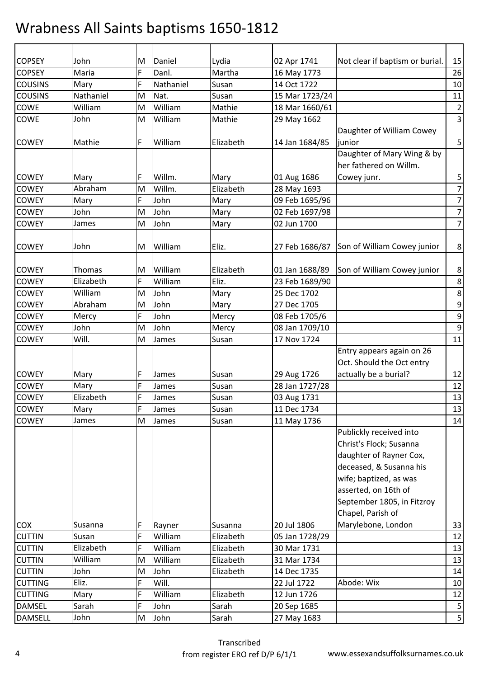| <b>COPSEY</b>  | John      | M | Daniel    | Lydia     | 02 Apr 1741    | Not clear if baptism or burial. | 15               |
|----------------|-----------|---|-----------|-----------|----------------|---------------------------------|------------------|
| <b>COPSEY</b>  | Maria     | F | Danl.     | Martha    | 16 May 1773    |                                 | 26               |
| <b>COUSINS</b> | Mary      | F | Nathaniel | Susan     | 14 Oct 1722    |                                 | 10               |
| <b>COUSINS</b> | Nathaniel | M | Nat.      | Susan     | 15 Mar 1723/24 |                                 | 11               |
| COWE           | William   | M | William   | Mathie    | 18 Mar 1660/61 |                                 | $\mathbf 2$      |
| <b>COWE</b>    | John      | M | William   | Mathie    | 29 May 1662    |                                 | $\overline{3}$   |
|                |           |   |           |           |                | Daughter of William Cowey       |                  |
| <b>COWEY</b>   | Mathie    | F | William   | Elizabeth | 14 Jan 1684/85 | junior                          | 5                |
|                |           |   |           |           |                | Daughter of Mary Wing & by      |                  |
|                |           |   |           |           |                | her fathered on Willm.          |                  |
| <b>COWEY</b>   | Mary      | F | Willm.    | Mary      | 01 Aug 1686    | Cowey junr.                     | 5                |
| <b>COWEY</b>   | Abraham   | M | Willm.    | Elizabeth | 28 May 1693    |                                 | $\overline{7}$   |
| <b>COWEY</b>   | Mary      | F | John      | Mary      | 09 Feb 1695/96 |                                 | $\overline{7}$   |
| <b>COWEY</b>   | John      | M | John      | Mary      | 02 Feb 1697/98 |                                 | $\overline{7}$   |
| <b>COWEY</b>   | James     | M | John      | Mary      | 02 Jun 1700    |                                 | $\overline{7}$   |
|                |           |   |           |           |                |                                 |                  |
| <b>COWEY</b>   | John      | M | William   | Eliz.     | 27 Feb 1686/87 | Son of William Cowey junior     | 8                |
|                |           |   |           |           |                |                                 |                  |
| <b>COWEY</b>   | Thomas    | M | William   | Elizabeth | 01 Jan 1688/89 | Son of William Cowey junior     | 8                |
| <b>COWEY</b>   | Elizabeth | F | William   | Eliz.     | 23 Feb 1689/90 |                                 | 8                |
| <b>COWEY</b>   | William   | M | John      | Mary      | 25 Dec 1702    |                                 | $\,8\,$          |
| <b>COWEY</b>   | Abraham   | M | John      | Mary      | 27 Dec 1705    |                                 | 9                |
| <b>COWEY</b>   | Mercy     | F | John      | Mercy     | 08 Feb 1705/6  |                                 | $\mathsf 9$      |
| <b>COWEY</b>   | John      | M | John      | Mercy     | 08 Jan 1709/10 |                                 | $\boldsymbol{9}$ |
| <b>COWEY</b>   | Will.     | M | James     | Susan     | 17 Nov 1724    |                                 | 11               |
|                |           |   |           |           |                | Entry appears again on 26       |                  |
|                |           |   |           |           |                | Oct. Should the Oct entry       |                  |
| <b>COWEY</b>   | Mary      | F | James     | Susan     | 29 Aug 1726    | actually be a burial?           | 12               |
| <b>COWEY</b>   | Mary      | F | James     | Susan     | 28 Jan 1727/28 |                                 | 12               |
| <b>COWEY</b>   | Elizabeth | F | James     | Susan     | 03 Aug 1731    |                                 | 13               |
| <b>COWEY</b>   | Mary      | F | James     | Susan     | 11 Dec 1734    |                                 | 13               |
| <b>COWEY</b>   | James     | M | James     | Susan     | 11 May 1736    |                                 | 14               |
|                |           |   |           |           |                | Publickly received into         |                  |
|                |           |   |           |           |                | Christ's Flock; Susanna         |                  |
|                |           |   |           |           |                | daughter of Rayner Cox,         |                  |
|                |           |   |           |           |                | deceased, & Susanna his         |                  |
|                |           |   |           |           |                | wife; baptized, as was          |                  |
|                |           |   |           |           |                | asserted, on 16th of            |                  |
|                |           |   |           |           |                | September 1805, in Fitzroy      |                  |
|                |           |   |           |           |                | Chapel, Parish of               |                  |
| <b>COX</b>     | Susanna   | F | Rayner    | Susanna   | 20 Jul 1806    | Marylebone, London              | 33               |
| <b>CUTTIN</b>  | Susan     | F | William   | Elizabeth | 05 Jan 1728/29 |                                 | 12               |
| <b>CUTTIN</b>  | Elizabeth | F | William   | Elizabeth | 30 Mar 1731    |                                 | 13               |
| <b>CUTTIN</b>  | William   | M | William   | Elizabeth | 31 Mar 1734    |                                 | 13               |
| <b>CUTTIN</b>  | John      | M | John      | Elizabeth | 14 Dec 1735    |                                 | 14               |
| <b>CUTTING</b> | Eliz.     | F | Will.     |           | 22 Jul 1722    | Abode: Wix                      | 10               |
| <b>CUTTING</b> | Mary      | F | William   | Elizabeth | 12 Jun 1726    |                                 | 12               |
| <b>DAMSEL</b>  | Sarah     | F | John      | Sarah     | 20 Sep 1685    |                                 | 5                |
| <b>DAMSELL</b> | John      | M | John      | Sarah     | 27 May 1683    |                                 | 5                |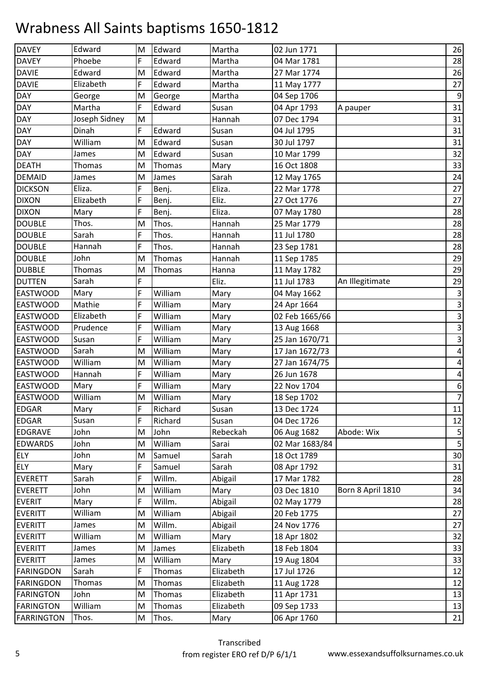| <b>DAVEY</b>      | Edward        | M | Edward  | Martha    | 02 Jun 1771    |                   | 26                      |
|-------------------|---------------|---|---------|-----------|----------------|-------------------|-------------------------|
| <b>DAVEY</b>      | Phoebe        | F | Edward  | Martha    | 04 Mar 1781    |                   | 28                      |
| <b>DAVIE</b>      | Edward        | M | Edward  | Martha    | 27 Mar 1774    |                   | 26                      |
| <b>DAVIE</b>      | Elizabeth     | F | Edward  | Martha    | 11 May 1777    |                   | 27                      |
| DAY               | George        | M | George  | Martha    | 04 Sep 1706    |                   | $\boldsymbol{9}$        |
| DAY               | Martha        | F | Edward  | Susan     | 04 Apr 1793    | A pauper          | 31                      |
| <b>DAY</b>        | Joseph Sidney | M |         | Hannah    | 07 Dec 1794    |                   | 31                      |
| DAY               | Dinah         | F | Edward  | Susan     | 04 Jul 1795    |                   | 31                      |
| <b>DAY</b>        | William       | M | Edward  | Susan     | 30 Jul 1797    |                   | 31                      |
| DAY               | James         | M | Edward  | Susan     | 10 Mar 1799    |                   | 32                      |
| <b>DEATH</b>      | Thomas        | M | Thomas  | Mary      | 16 Oct 1808    |                   | 33                      |
| <b>DEMAID</b>     | James         | M | James   | Sarah     | 12 May 1765    |                   | 24                      |
| <b>DICKSON</b>    | Eliza.        | F | Benj.   | Eliza.    | 22 Mar 1778    |                   | 27                      |
| <b>DIXON</b>      | Elizabeth     | F | Benj.   | Eliz.     | 27 Oct 1776    |                   | 27                      |
| <b>DIXON</b>      | Mary          | F | Benj.   | Eliza.    | 07 May 1780    |                   | 28                      |
| <b>DOUBLE</b>     | Thos.         | M | Thos.   | Hannah    | 25 Mar 1779    |                   | 28                      |
| <b>DOUBLE</b>     | Sarah         | F | Thos.   | Hannah    | 11 Jul 1780    |                   | 28                      |
| <b>DOUBLE</b>     | Hannah        | F | Thos.   | Hannah    | 23 Sep 1781    |                   | 28                      |
| <b>DOUBLE</b>     | John          | M | Thomas  | Hannah    | 11 Sep 1785    |                   | 29                      |
| <b>DUBBLE</b>     | Thomas        | M | Thomas  | Hanna     | 11 May 1782    |                   | 29                      |
| <b>DUTTEN</b>     | Sarah         | F |         | Eliz.     | 11 Jul 1783    | An Illegitimate   | 29                      |
| <b>EASTWOOD</b>   | Mary          | F | William | Mary      | 04 May 1662    |                   | $\overline{\mathbf{3}}$ |
| <b>EASTWOOD</b>   | Mathie        | F | William | Mary      | 24 Apr 1664    |                   | $\mathsf{3}$            |
| <b>EASTWOOD</b>   | Elizabeth     | F | William | Mary      | 02 Feb 1665/66 |                   | $\mathbf{3}$            |
| <b>EASTWOOD</b>   | Prudence      | F | William | Mary      | 13 Aug 1668    |                   | $\mathbf{3}$            |
| <b>EASTWOOD</b>   | Susan         | F | William | Mary      | 25 Jan 1670/71 |                   | ω                       |
| <b>EASTWOOD</b>   | Sarah         | M | William | Mary      | 17 Jan 1672/73 |                   | $\pmb{4}$               |
| <b>EASTWOOD</b>   | William       | M | William | Mary      | 27 Jan 1674/75 |                   | $\pmb{4}$               |
| <b>EASTWOOD</b>   | Hannah        | F | William | Mary      | 26 Jun 1678    |                   | $\pmb{4}$               |
| <b>EASTWOOD</b>   | Mary          | F | William | Mary      | 22 Nov 1704    |                   | $\boldsymbol{6}$        |
| <b>EASTWOOD</b>   | William       | M | William | Mary      | 18 Sep 1702    |                   | $\overline{z}$          |
| <b>EDGAR</b>      | Mary          | F | Richard | Susan     | 13 Dec 1724    |                   | 11                      |
| <b>EDGAR</b>      | Susan         | F | Richard | Susan     | 04 Dec 1726    |                   | 12                      |
| <b>EDGRAVE</b>    | John          | M | John    | Rebeckah  | 06 Aug 1682    | Abode: Wix        | $\mathsf S$             |
| <b>EDWARDS</b>    | John          | M | William | Sarai     | 02 Mar 1683/84 |                   | 5                       |
| <b>ELY</b>        | John          | M | Samuel  | Sarah     | 18 Oct 1789    |                   | 30                      |
| <b>ELY</b>        | Mary          | F | Samuel  | Sarah     | 08 Apr 1792    |                   | 31                      |
| <b>EVERETT</b>    | Sarah         | F | Willm.  | Abigail   | 17 Mar 1782    |                   | 28                      |
| <b>EVERETT</b>    | John          | M | William | Mary      | 03 Dec 1810    | Born 8 April 1810 | 34                      |
| <b>EVERIT</b>     | Mary          | F | Willm.  | Abigail   | 02 May 1779    |                   | 28                      |
| <b>EVERITT</b>    | William       | M | William | Abigail   | 20 Feb 1775    |                   | 27                      |
| <b>EVERITT</b>    | James         | M | Willm.  | Abigail   | 24 Nov 1776    |                   | 27                      |
| <b>EVERITT</b>    | William       | M | William | Mary      | 18 Apr 1802    |                   | 32                      |
| <b>EVERITT</b>    | James         | M | James   | Elizabeth | 18 Feb 1804    |                   | 33                      |
| <b>EVERITT</b>    | James         | M | William | Mary      | 19 Aug 1804    |                   | 33                      |
| <b>FARINGDON</b>  | Sarah         | F | Thomas  | Elizabeth | 17 Jul 1726    |                   | 12                      |
| FARINGDON         | Thomas        | M | Thomas  | Elizabeth | 11 Aug 1728    |                   | 12                      |
| FARINGTON         | John          | M | Thomas  | Elizabeth | 11 Apr 1731    |                   | 13                      |
| <b>FARINGTON</b>  | William       | M | Thomas  | Elizabeth | 09 Sep 1733    |                   | 13                      |
| <b>FARRINGTON</b> | Thos.         | M | Thos.   | Mary      | 06 Apr 1760    |                   | 21                      |
|                   |               |   |         |           |                |                   |                         |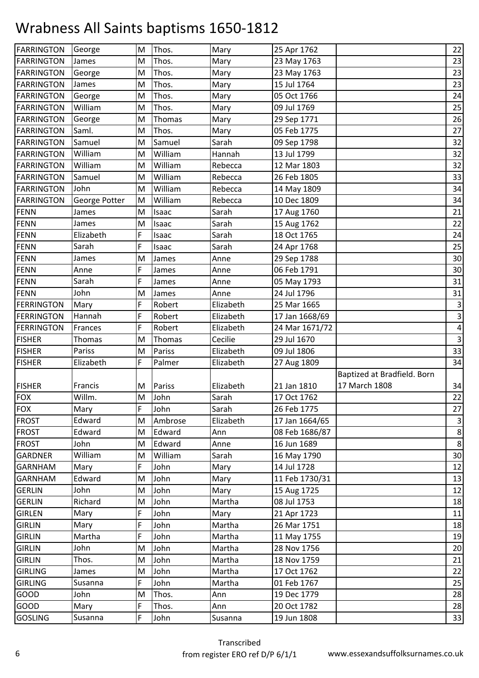| <b>FARRINGTON</b> | George        | M | Thos.   | Mary      | 25 Apr 1762    |                             | 22           |
|-------------------|---------------|---|---------|-----------|----------------|-----------------------------|--------------|
| <b>FARRINGTON</b> | James         | M | Thos.   | Mary      | 23 May 1763    |                             | 23           |
| <b>FARRINGTON</b> | George        | M | Thos.   | Mary      | 23 May 1763    |                             | 23           |
| <b>FARRINGTON</b> | James         | M | Thos.   | Mary      | 15 Jul 1764    |                             | 23           |
| <b>FARRINGTON</b> | George        | M | Thos.   | Mary      | 05 Oct 1766    |                             | 24           |
| <b>FARRINGTON</b> | William       | M | Thos.   | Mary      | 09 Jul 1769    |                             | 25           |
| <b>FARRINGTON</b> | George        | M | Thomas  | Mary      | 29 Sep 1771    |                             | 26           |
| <b>FARRINGTON</b> | Saml.         | M | Thos.   | Mary      | 05 Feb 1775    |                             | 27           |
| <b>FARRINGTON</b> | Samuel        | M | Samuel  | Sarah     | 09 Sep 1798    |                             | 32           |
| <b>FARRINGTON</b> | William       | M | William | Hannah    | 13 Jul 1799    |                             | 32           |
| <b>FARRINGTON</b> | William       | M | William | Rebecca   | 12 Mar 1803    |                             | 32           |
| <b>FARRINGTON</b> | Samuel        | M | William | Rebecca   | 26 Feb 1805    |                             | 33           |
| <b>FARRINGTON</b> | John          | M | William | Rebecca   | 14 May 1809    |                             | 34           |
| <b>FARRINGTON</b> | George Potter | M | William | Rebecca   | 10 Dec 1809    |                             | 34           |
| <b>FENN</b>       | James         | M | Isaac   | Sarah     | 17 Aug 1760    |                             | 21           |
| FENN              | James         | M | Isaac   | Sarah     | 15 Aug 1762    |                             | 22           |
| <b>FENN</b>       | Elizabeth     | F | Isaac   | Sarah     | 18 Oct 1765    |                             | 24           |
| <b>FENN</b>       | Sarah         | F | Isaac   | Sarah     | 24 Apr 1768    |                             | 25           |
| <b>FENN</b>       | James         | M | James   | Anne      | 29 Sep 1788    |                             | 30           |
| <b>FENN</b>       | Anne          | F | James   | Anne      | 06 Feb 1791    |                             | 30           |
| FENN              | Sarah         | F | James   | Anne      | 05 May 1793    |                             | 31           |
| <b>FENN</b>       | John          | M | James   | Anne      | 24 Jul 1796    |                             | 31           |
| <b>FERRINGTON</b> | Mary          | F | Robert  | Elizabeth | 25 Mar 1665    |                             | $\mathsf 3$  |
| <b>FERRINGTON</b> | Hannah        | F | Robert  | Elizabeth | 17 Jan 1668/69 |                             | $\mathbf{3}$ |
| <b>FERRINGTON</b> | Frances       | F | Robert  | Elizabeth | 24 Mar 1671/72 |                             | $\pmb{4}$    |
| <b>FISHER</b>     | Thomas        | M | Thomas  | Cecilie   | 29 Jul 1670    |                             | υ            |
| <b>FISHER</b>     | Pariss        | M | Pariss  | Elizabeth | 09 Jul 1806    |                             | 33           |
| <b>FISHER</b>     | Elizabeth     | F | Palmer  | Elizabeth | 27 Aug 1809    |                             | 34           |
|                   |               |   |         |           |                | Baptized at Bradfield. Born |              |
| <b>FISHER</b>     | Francis       | M | Pariss  | Elizabeth | 21 Jan 1810    | 17 March 1808               | 34           |
| <b>FOX</b>        | Willm.        | M | John    | Sarah     | 17 Oct 1762    |                             | 22           |
| <b>FOX</b>        | Mary          | F | John    | Sarah     | 26 Feb 1775    |                             | 27           |
| <b>FROST</b>      | Edward        | M | Ambrose | Elizabeth | 17 Jan 1664/65 |                             | $\mathbf{3}$ |
| <b>FROST</b>      | Edward        | M | Edward  | Ann       | 08 Feb 1686/87 |                             | $\bf 8$      |
| <b>FROST</b>      | John          | М | Edward  | Anne      | 16 Jun 1689    |                             | $\,8\,$      |
| <b>GARDNER</b>    | William       | M | William | Sarah     | 16 May 1790    |                             | 30           |
| <b>GARNHAM</b>    | Mary          | F | John    | Mary      | 14 Jul 1728    |                             | 12           |
| <b>GARNHAM</b>    | Edward        | M | John    | Mary      | 11 Feb 1730/31 |                             | 13           |
| <b>GERLIN</b>     | John          | M | John    | Mary      | 15 Aug 1725    |                             | 12           |
| <b>GERLIN</b>     | Richard       | M | John    | Martha    | 08 Jul 1753    |                             | 18           |
| <b>GIRLEN</b>     | Mary          | F | John    | Mary      | 21 Apr 1723    |                             | 11           |
| <b>GIRLIN</b>     | Mary          | F | John    | Martha    | 26 Mar 1751    |                             | 18           |
| <b>GIRLIN</b>     | Martha        | F | John    | Martha    | 11 May 1755    |                             | 19           |
| <b>GIRLIN</b>     | John          | M | John    | Martha    | 28 Nov 1756    |                             | 20           |
| <b>GIRLIN</b>     | Thos.         | M | John    | Martha    | 18 Nov 1759    |                             | 21           |
| <b>GIRLING</b>    | James         | M | John    | Martha    | 17 Oct 1762    |                             | 22           |
| <b>GIRLING</b>    | Susanna       | F | John    | Martha    | 01 Feb 1767    |                             | 25           |
| <b>GOOD</b>       | John          | M | Thos.   | Ann       | 19 Dec 1779    |                             | 28           |
| <b>GOOD</b>       |               |   |         |           |                |                             |              |
|                   | Mary          | F | Thos.   | Ann       | 20 Oct 1782    |                             | 28           |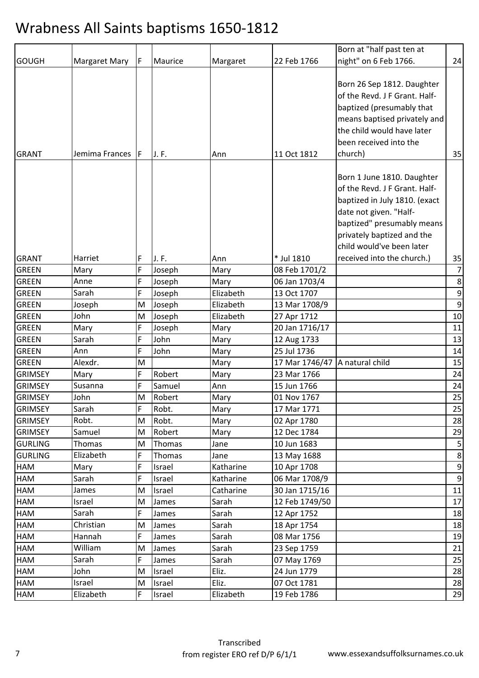|                |                |    |         |           |                | Born at "half past ten at                                                                                                                                                                                                                                                                                                                                                         |                  |
|----------------|----------------|----|---------|-----------|----------------|-----------------------------------------------------------------------------------------------------------------------------------------------------------------------------------------------------------------------------------------------------------------------------------------------------------------------------------------------------------------------------------|------------------|
| <b>GOUGH</b>   | Margaret Mary  | F. | Maurice | Margaret  | 22 Feb 1766    | night" on 6 Feb 1766.                                                                                                                                                                                                                                                                                                                                                             | 24               |
| <b>GRANT</b>   | Jemima Frances | F. | J.F.    | Ann       | 11 Oct 1812    | Born 26 Sep 1812. Daughter<br>of the Revd. J F Grant. Half-<br>baptized (presumably that<br>means baptised privately and<br>the child would have later<br>been received into the<br>church)<br>Born 1 June 1810. Daughter<br>of the Revd. J F Grant. Half-<br>baptized in July 1810. (exact<br>date not given. "Half-<br>baptized" presumably means<br>privately baptized and the | 35               |
|                |                |    |         |           |                | child would've been later                                                                                                                                                                                                                                                                                                                                                         |                  |
| <b>GRANT</b>   | Harriet        | F  | J.F.    | Ann       | * Jul 1810     | received into the church.)                                                                                                                                                                                                                                                                                                                                                        | 35               |
| <b>GREEN</b>   | Mary           | F  | Joseph  | Mary      | 08 Feb 1701/2  |                                                                                                                                                                                                                                                                                                                                                                                   | 7                |
| <b>GREEN</b>   | Anne           | F  | Joseph  | Mary      | 06 Jan 1703/4  |                                                                                                                                                                                                                                                                                                                                                                                   | 8                |
| <b>GREEN</b>   | Sarah          | F  | Joseph  | Elizabeth | 13 Oct 1707    |                                                                                                                                                                                                                                                                                                                                                                                   | $\boldsymbol{9}$ |
| <b>GREEN</b>   | Joseph         | M  | Joseph  | Elizabeth | 13 Mar 1708/9  |                                                                                                                                                                                                                                                                                                                                                                                   | 9                |
| <b>GREEN</b>   | John           | M  | Joseph  | Elizabeth | 27 Apr 1712    |                                                                                                                                                                                                                                                                                                                                                                                   | 10               |
| <b>GREEN</b>   | Mary           | F  | Joseph  | Mary      | 20 Jan 1716/17 |                                                                                                                                                                                                                                                                                                                                                                                   | 11               |
| <b>GREEN</b>   | Sarah          | F  | John    | Mary      | 12 Aug 1733    |                                                                                                                                                                                                                                                                                                                                                                                   | 13               |
| <b>GREEN</b>   | Ann            | F  | John    | Mary      | 25 Jul 1736    |                                                                                                                                                                                                                                                                                                                                                                                   | 14               |
| <b>GREEN</b>   | Alexdr.        | M  |         | Mary      | 17 Mar 1746/47 | A natural child                                                                                                                                                                                                                                                                                                                                                                   | 15               |
| <b>GRIMSEY</b> | Mary           | F  | Robert  | Mary      | 23 Mar 1766    |                                                                                                                                                                                                                                                                                                                                                                                   | 24               |
| <b>GRIMSEY</b> | Susanna        | F  | Samuel  | Ann       | 15 Jun 1766    |                                                                                                                                                                                                                                                                                                                                                                                   | 24               |
| <b>GRIMSEY</b> | John           | M  | Robert  | Mary      | 01 Nov 1767    |                                                                                                                                                                                                                                                                                                                                                                                   | 25               |
| <b>GRIMSEY</b> | Sarah          | F  | Robt.   | Mary      | 17 Mar 1771    |                                                                                                                                                                                                                                                                                                                                                                                   | 25               |
| <b>GRIMSEY</b> | Robt.          | M  | Robt.   | Mary      | 02 Apr 1780    |                                                                                                                                                                                                                                                                                                                                                                                   | 28               |
| <b>GRIMSEY</b> | Samuel         | M  | Robert  | Mary      | 12 Dec 1784    |                                                                                                                                                                                                                                                                                                                                                                                   | 29               |
| <b>GURLING</b> | <b>Thomas</b>  | М  | Thomas  | Jane      | 10 Jun 1683    |                                                                                                                                                                                                                                                                                                                                                                                   |                  |
| <b>GURLING</b> | Elizabeth      | F  | Thomas  | Jane      | 13 May 1688    |                                                                                                                                                                                                                                                                                                                                                                                   | 8                |
| HAM            | Mary           | F  | Israel  | Katharine | 10 Apr 1708    |                                                                                                                                                                                                                                                                                                                                                                                   | $\boldsymbol{9}$ |
| HAM            | Sarah          | F  | Israel  | Katharine | 06 Mar 1708/9  |                                                                                                                                                                                                                                                                                                                                                                                   | 9                |
| HAM            | James          | M  | Israel  | Catharine | 30 Jan 1715/16 |                                                                                                                                                                                                                                                                                                                                                                                   | 11               |
| <b>HAM</b>     | Israel         | M  | James   | Sarah     | 12 Feb 1749/50 |                                                                                                                                                                                                                                                                                                                                                                                   | 17               |
| HAM            | Sarah          | F  | James   | Sarah     | 12 Apr 1752    |                                                                                                                                                                                                                                                                                                                                                                                   | 18               |
| HAM            | Christian      | M  | James   | Sarah     | 18 Apr 1754    |                                                                                                                                                                                                                                                                                                                                                                                   | 18               |
| HAM            | Hannah         | F  | James   | Sarah     | 08 Mar 1756    |                                                                                                                                                                                                                                                                                                                                                                                   | 19               |
| HAM            | William        | M  | James   | Sarah     | 23 Sep 1759    |                                                                                                                                                                                                                                                                                                                                                                                   | 21               |
| <b>HAM</b>     | Sarah          | F  | James   | Sarah     | 07 May 1769    |                                                                                                                                                                                                                                                                                                                                                                                   | 25               |
| HAM            | John           | M  | Israel  | Eliz.     | 24 Jun 1779    |                                                                                                                                                                                                                                                                                                                                                                                   | 28               |
| HAM            | Israel         | M  | Israel  | Eliz.     | 07 Oct 1781    |                                                                                                                                                                                                                                                                                                                                                                                   | 28               |
| HAM            | Elizabeth      | F  | Israel  | Elizabeth | 19 Feb 1786    |                                                                                                                                                                                                                                                                                                                                                                                   | 29               |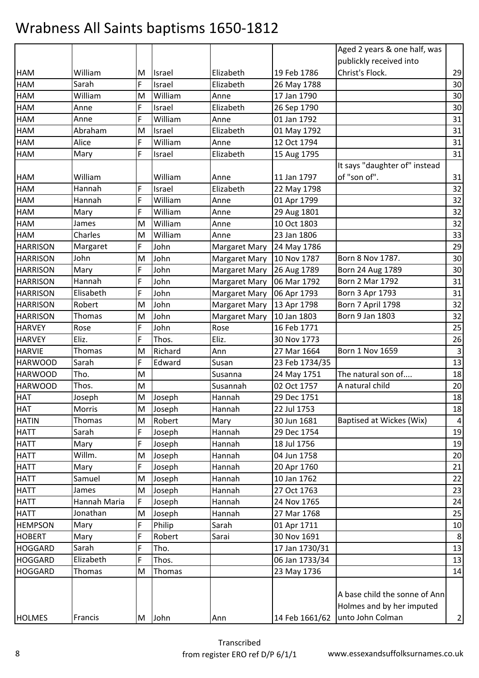|                 |              |   |         |                      |                | Aged 2 years & one half, was  |                         |
|-----------------|--------------|---|---------|----------------------|----------------|-------------------------------|-------------------------|
|                 |              |   |         |                      |                | publickly received into       |                         |
| <b>HAM</b>      | William      | м | Israel  | Elizabeth            | 19 Feb 1786    | Christ's Flock.               | 29                      |
| <b>HAM</b>      | Sarah        | F | Israel  | Elizabeth            | 26 May 1788    |                               | 30                      |
| <b>HAM</b>      | William      | M | William | Anne                 | 17 Jan 1790    |                               | 30                      |
| <b>HAM</b>      | Anne         | F | Israel  | Elizabeth            | 26 Sep 1790    |                               | 30                      |
| <b>HAM</b>      | Anne         | F | William | Anne                 | 01 Jan 1792    |                               | 31                      |
| HAM             | Abraham      | M | Israel  | Elizabeth            | 01 May 1792    |                               | 31                      |
| HAM             | Alice        | F | William | Anne                 | 12 Oct 1794    |                               | 31                      |
| <b>HAM</b>      | Mary         | F | Israel  | Elizabeth            | 15 Aug 1795    |                               | 31                      |
|                 |              |   |         |                      |                | It says "daughter of" instead |                         |
| <b>HAM</b>      | William      |   | William | Anne                 | 11 Jan 1797    | of "son of".                  | 31                      |
| <b>HAM</b>      | Hannah       | F | Israel  | Elizabeth            | 22 May 1798    |                               | 32                      |
| HAM             | Hannah       | F | William | Anne                 | 01 Apr 1799    |                               | 32                      |
| <b>HAM</b>      | Mary         | F | William | Anne                 | 29 Aug 1801    |                               | 32                      |
| <b>HAM</b>      | James        | M | William | Anne                 | 10 Oct 1803    |                               | 32                      |
| <b>HAM</b>      | Charles      | M | William | Anne                 | 23 Jan 1806    |                               | 33                      |
| <b>HARRISON</b> | Margaret     | F | John    | Margaret Mary        | 24 May 1786    |                               | 29                      |
| <b>HARRISON</b> | John         | M | John    | <b>Margaret Mary</b> | 10 Nov 1787    | Born 8 Nov 1787.              | 30                      |
| <b>HARRISON</b> | Mary         | F | John    | Margaret Mary        | 26 Aug 1789    | Born 24 Aug 1789              | 30                      |
| <b>HARRISON</b> | Hannah       | F | John    | <b>Margaret Mary</b> | 06 Mar 1792    | <b>Born 2 Mar 1792</b>        | 31                      |
| <b>HARRISON</b> | Elisabeth    | F | John    | <b>Margaret Mary</b> | 06 Apr 1793    | Born 3 Apr 1793               | 31                      |
| <b>HARRISON</b> | Robert       | M | John    | Margaret Mary        | 13 Apr 1798    | Born 7 April 1798             | 32                      |
| <b>HARRISON</b> | Thomas       | M | John    | <b>Margaret Mary</b> | 10 Jan 1803    | Born 9 Jan 1803               | 32                      |
| <b>HARVEY</b>   | Rose         | F | John    | Rose                 | 16 Feb 1771    |                               | 25                      |
| <b>HARVEY</b>   | Eliz.        | F | Thos.   | Eliz.                | 30 Nov 1773    |                               | 26                      |
| <b>HARVIE</b>   | Thomas       | M | Richard | Ann                  | 27 Mar 1664    | <b>Born 1 Nov 1659</b>        | $\overline{\mathbf{3}}$ |
| <b>HARWOOD</b>  | Sarah        | F | Edward  | Susan                | 23 Feb 1734/35 |                               | 13                      |
| <b>HARWOOD</b>  | Tho.         | M |         | Susanna              | 24 May 1751    | The natural son of            | 18                      |
| <b>HARWOOD</b>  | Thos.        | M |         | Susannah             | 02 Oct 1757    | A natural child               | 20                      |
| <b>HAT</b>      | Joseph       | M | Joseph  | Hannah               | 29 Dec 1751    |                               | 18                      |
| <b>HAT</b>      | Morris       | M | Joseph  | Hannah               | 22 Jul 1753    |                               | 18                      |
| <b>HATIN</b>    | Thomas       | M | Robert  | Mary                 | 30 Jun 1681    | Baptised at Wickes (Wix)      | 4                       |
| <b>HATT</b>     | Sarah        | F | Joseph  | Hannah               | 29 Dec 1754    |                               | 19                      |
| <b>HATT</b>     | Mary         | F | Joseph  | Hannah               | 18 Jul 1756    |                               | 19                      |
| <b>HATT</b>     | Willm.       | M | Joseph  | Hannah               | 04 Jun 1758    |                               | 20                      |
| <b>HATT</b>     | Mary         | F | Joseph  | Hannah               | 20 Apr 1760    |                               | 21                      |
| <b>HATT</b>     | Samuel       | M | Joseph  | Hannah               | 10 Jan 1762    |                               | 22                      |
| <b>HATT</b>     | James        | M | Joseph  | Hannah               | 27 Oct 1763    |                               | 23                      |
| <b>HATT</b>     | Hannah Maria | F | Joseph  | Hannah               | 24 Nov 1765    |                               | 24                      |
| <b>HATT</b>     | Jonathan     | M | Joseph  | Hannah               | 27 Mar 1768    |                               | 25                      |
| <b>HEMPSON</b>  | Mary         | F | Philip  | Sarah                | 01 Apr 1711    |                               | 10                      |
| <b>HOBERT</b>   | Mary         | F | Robert  | Sarai                | 30 Nov 1691    |                               | 8                       |
| <b>HOGGARD</b>  | Sarah        | F | Tho.    |                      | 17 Jan 1730/31 |                               | 13                      |
| <b>HOGGARD</b>  | Elizabeth    | F | Thos.   |                      | 06 Jan 1733/34 |                               | 13                      |
| <b>HOGGARD</b>  | Thomas       | M | Thomas  |                      | 23 May 1736    |                               | 14                      |
|                 |              |   |         |                      |                |                               |                         |
|                 |              |   |         |                      |                | A base child the sonne of Ann |                         |
|                 |              |   |         |                      |                | Holmes and by her imputed     |                         |
| <b>HOLMES</b>   | Francis      | M | John    | Ann                  | 14 Feb 1661/62 | unto John Colman              | $\overline{2}$          |
|                 |              |   |         |                      |                |                               |                         |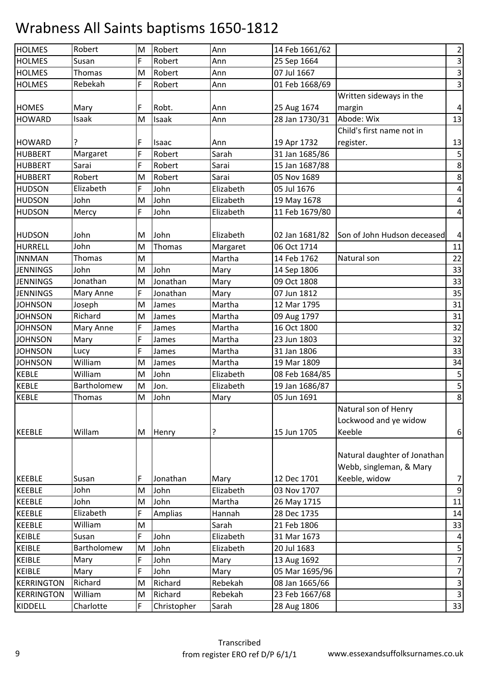| <b>HOLMES</b>     | Robert        | M | Robert      | Ann       | 14 Feb 1661/62 |                              | $\overline{2}$          |
|-------------------|---------------|---|-------------|-----------|----------------|------------------------------|-------------------------|
| <b>HOLMES</b>     | Susan         | F | Robert      | Ann       | 25 Sep 1664    |                              | $\mathsf 3$             |
| <b>HOLMES</b>     | <b>Thomas</b> | M | Robert      | Ann       | 07 Jul 1667    |                              | $\overline{3}$          |
| <b>HOLMES</b>     | Rebekah       | F | Robert      | Ann       | 01 Feb 1668/69 |                              | $\overline{\mathbf{3}}$ |
|                   |               |   |             |           |                | Written sideways in the      |                         |
| <b>HOMES</b>      | Mary          | F | Robt.       | Ann       | 25 Aug 1674    | margin                       | $\pmb{4}$               |
| <b>HOWARD</b>     | Isaak         | M | Isaak       | Ann       | 28 Jan 1730/31 | Abode: Wix                   | 13                      |
|                   |               |   |             |           |                | Child's first name not in    |                         |
| <b>HOWARD</b>     | ?             | F | Isaac       | Ann       | 19 Apr 1732    | register.                    | 13                      |
| <b>HUBBERT</b>    | Margaret      | F | Robert      | Sarah     | 31 Jan 1685/86 |                              | 5                       |
| <b>HUBBERT</b>    | Sarai         | F | Robert      | Sarai     | 15 Jan 1687/88 |                              | $\,8\,$                 |
| <b>HUBBERT</b>    | Robert        | M | Robert      | Sarai     | 05 Nov 1689    |                              | 8                       |
| <b>HUDSON</b>     | Elizabeth     | F | John        | Elizabeth | 05 Jul 1676    |                              | $\overline{\mathbf{4}}$ |
| <b>HUDSON</b>     | John          | M | John        | Elizabeth | 19 May 1678    |                              | $\sqrt{4}$              |
| <b>HUDSON</b>     | Mercy         | F | John        | Elizabeth | 11 Feb 1679/80 |                              | $\overline{\mathbf{4}}$ |
|                   |               |   |             |           |                |                              |                         |
| <b>HUDSON</b>     | John          | M | John        | Elizabeth | 02 Jan 1681/82 | Son of John Hudson deceased  | $\overline{4}$          |
| HURRELL           | John          | M | Thomas      | Margaret  | 06 Oct 1714    |                              | 11                      |
| <b>INNMAN</b>     | Thomas        | M |             | Martha    | 14 Feb 1762    | Natural son                  | 22                      |
| <b>JENNINGS</b>   | John          | M | John        | Mary      | 14 Sep 1806    |                              | 33                      |
| <b>JENNINGS</b>   | Jonathan      | M | Jonathan    | Mary      | 09 Oct 1808    |                              | 33                      |
| <b>JENNINGS</b>   | Mary Anne     | F | Jonathan    | Mary      | 07 Jun 1812    |                              | 35                      |
| <b>JOHNSON</b>    | Joseph        | M | James       | Martha    | 12 Mar 1795    |                              | 31                      |
| <b>JOHNSON</b>    | Richard       | M | James       | Martha    | 09 Aug 1797    |                              | 31                      |
| <b>JOHNSON</b>    | Mary Anne     | F | James       | Martha    | 16 Oct 1800    |                              | 32                      |
| <b>JOHNSON</b>    | Mary          | F | James       | Martha    | 23 Jun 1803    |                              | 32                      |
| <b>JOHNSON</b>    | Lucy          | F | James       | Martha    | 31 Jan 1806    |                              | 33                      |
| <b>JOHNSON</b>    | William       | M | James       | Martha    | 19 Mar 1809    |                              | 34                      |
| <b>KEBLE</b>      | William       | M | John        | Elizabeth | 08 Feb 1684/85 |                              | 5                       |
| <b>KEBLE</b>      | Bartholomew   | M | Jon.        | Elizabeth | 19 Jan 1686/87 |                              | $\overline{\mathbf{5}}$ |
| <b>KEBLE</b>      | Thomas        | M | John        | Mary      | 05 Jun 1691    |                              | $\overline{8}$          |
|                   |               |   |             |           |                | Natural son of Henry         |                         |
|                   |               |   |             |           |                | Lockwood and ye widow        |                         |
| <b>KEEBLE</b>     | Willam        | M | Henry       | ?         | 15 Jun 1705    | Keeble                       | 6                       |
|                   |               |   |             |           |                |                              |                         |
|                   |               |   |             |           |                | Natural daughter of Jonathan |                         |
|                   |               |   |             |           |                | Webb, singleman, & Mary      |                         |
| <b>KEEBLE</b>     | Susan         | F | Jonathan    | Mary      | 12 Dec 1701    | Keeble, widow                | $\overline{7}$          |
| <b>KEEBLE</b>     | John          | M | John        | Elizabeth | 03 Nov 1707    |                              | 9                       |
| <b>KEEBLE</b>     | John          | M | John        | Martha    | 26 May 1715    |                              | 11                      |
| <b>KEEBLE</b>     | Elizabeth     | F | Amplias     | Hannah    | 28 Dec 1735    |                              | 14                      |
| <b>KEEBLE</b>     | William       | M |             | Sarah     | 21 Feb 1806    |                              | 33                      |
| <b>KEIBLE</b>     | Susan         | F | John        | Elizabeth | 31 Mar 1673    |                              | $\overline{a}$          |
| <b>KEIBLE</b>     | Bartholomew   | M | John        | Elizabeth | 20 Jul 1683    |                              | 5                       |
| <b>KEIBLE</b>     | Mary          | F | John        | Mary      | 13 Aug 1692    |                              | $\boldsymbol{7}$        |
| <b>KEIBLE</b>     | Mary          | F | John        | Mary      | 05 Mar 1695/96 |                              | $\boldsymbol{7}$        |
| <b>KERRINGTON</b> | Richard       | M | Richard     | Rebekah   | 08 Jan 1665/66 |                              | $\mathsf 3$             |
| <b>KERRINGTON</b> | William       | M | Richard     | Rebekah   | 23 Feb 1667/68 |                              | $\mathsf{3}$            |
| KIDDELL           | Charlotte     | F | Christopher | Sarah     | 28 Aug 1806    |                              | 33                      |
|                   |               |   |             |           |                |                              |                         |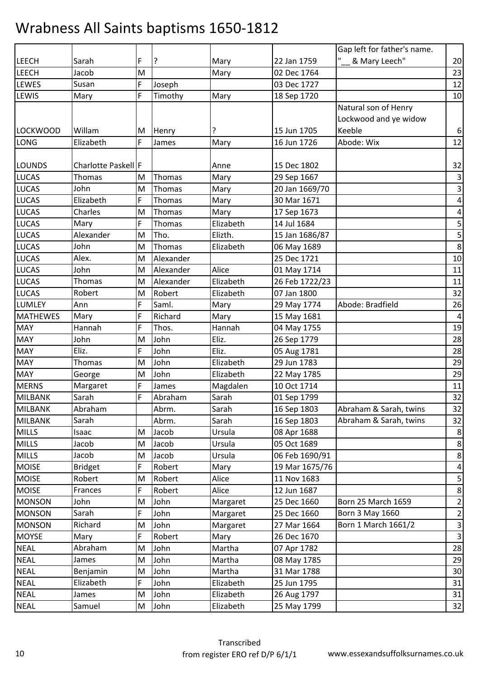|                 |                     |   |           |           |                | Gap left for father's name. |                           |
|-----------------|---------------------|---|-----------|-----------|----------------|-----------------------------|---------------------------|
| LEECH           | Sarah               | F | ?         | Mary      | 22 Jan 1759    | & Mary Leech"               | 20                        |
| LEECH           | Jacob               | M |           | Mary      | 02 Dec 1764    |                             | 23                        |
| LEWES           | Susan               | F | Joseph    |           | 03 Dec 1727    |                             | 12                        |
| LEWIS           | Mary                | F | Timothy   | Mary      | 18 Sep 1720    |                             | 10                        |
|                 |                     |   |           |           |                | Natural son of Henry        |                           |
|                 |                     |   |           |           |                | Lockwood and ye widow       |                           |
| <b>LOCKWOOD</b> | Willam              | M | Henry     |           | 15 Jun 1705    | Keeble                      | 6                         |
| <b>LONG</b>     | Elizabeth           | F | James     | Mary      | 16 Jun 1726    | Abode: Wix                  | 12                        |
|                 |                     |   |           |           |                |                             |                           |
| <b>LOUNDS</b>   | Charlotte Paskell F |   |           | Anne      | 15 Dec 1802    |                             | 32                        |
| <b>LUCAS</b>    | Thomas              | M | Thomas    | Mary      | 29 Sep 1667    |                             | $\mathsf{3}$              |
| <b>LUCAS</b>    | John                | M | Thomas    | Mary      | 20 Jan 1669/70 |                             | $\mathsf 3$               |
| <b>LUCAS</b>    | Elizabeth           | F | Thomas    | Mary      | 30 Mar 1671    |                             | $\overline{\mathbf{4}}$   |
| <b>LUCAS</b>    | Charles             | M | Thomas    | Mary      | 17 Sep 1673    |                             | $\pmb{4}$                 |
| <b>LUCAS</b>    | Mary                | F | Thomas    | Elizabeth | 14 Jul 1684    |                             | 5                         |
| <b>LUCAS</b>    | Alexander           | M | Tho.      | Elizth.   | 15 Jan 1686/87 |                             | 5                         |
| <b>LUCAS</b>    | John                | M | Thomas    | Elizabeth | 06 May 1689    |                             | $\,$ 8 $\,$               |
| <b>LUCAS</b>    | Alex.               | M | Alexander |           | 25 Dec 1721    |                             | 10                        |
| <b>LUCAS</b>    | John                | M | Alexander | Alice     | 01 May 1714    |                             | 11                        |
| <b>LUCAS</b>    | Thomas              | M | Alexander | Elizabeth | 26 Feb 1722/23 |                             | 11                        |
| <b>LUCAS</b>    | Robert              | M | Robert    | Elizabeth | 07 Jan 1800    |                             | 32                        |
| LUMLEY          | Ann                 | F | Saml.     | Mary      | 29 May 1774    | Abode: Bradfield            | 26                        |
| <b>MATHEWES</b> | Mary                | F | Richard   | Mary      | 15 May 1681    |                             | $\pmb{4}$                 |
| <b>MAY</b>      | Hannah              | F | Thos.     | Hannah    | 04 May 1755    |                             | 19                        |
| <b>MAY</b>      | John                | M | John      | Eliz.     | 26 Sep 1779    |                             | 28                        |
| <b>MAY</b>      | Eliz.               | F | John      | Eliz.     | 05 Aug 1781    |                             | 28                        |
| <b>MAY</b>      | Thomas              | M | John      | Elizabeth | 29 Jun 1783    |                             | 29                        |
| <b>MAY</b>      | George              | M | John      | Elizabeth | 22 May 1785    |                             | 29                        |
| <b>MERNS</b>    | Margaret            | F | James     | Magdalen  | 10 Oct 1714    |                             | 11                        |
| <b>MILBANK</b>  | Sarah               | F | Abraham   | Sarah     | 01 Sep 1799    |                             | 32                        |
| <b>MILBANK</b>  | Abraham             |   | Abrm.     | Sarah     | 16 Sep 1803    | Abraham & Sarah, twins      | 32                        |
| <b>MILBANK</b>  | Sarah               |   | Abrm.     | Sarah     | 16 Sep 1803    | Abraham & Sarah, twins      | 32                        |
| <b>MILLS</b>    | Isaac               | M | Jacob     | Ursula    | 08 Apr 1688    |                             | $\,8\,$                   |
| <b>MILLS</b>    | Jacob               | M | Jacob     | Ursula    | 05 Oct 1689    |                             | 8                         |
| <b>MILLS</b>    | Jacob               | M | Jacob     | Ursula    | 06 Feb 1690/91 |                             | $\,8\,$                   |
| <b>MOISE</b>    | <b>Bridget</b>      | F | Robert    | Mary      | 19 Mar 1675/76 |                             | 4                         |
| <b>MOISE</b>    | Robert              | M | Robert    | Alice     | 11 Nov 1683    |                             | 5                         |
| <b>MOISE</b>    | Frances             | F | Robert    | Alice     | 12 Jun 1687    |                             | $\bf 8$                   |
| <b>MONSON</b>   | John                | M | John      | Margaret  | 25 Dec 1660    | Born 25 March 1659          | $\overline{2}$            |
| <b>MONSON</b>   | Sarah               | F | John      | Margaret  | 25 Dec 1660    | Born 3 May 1660             | $\overline{2}$            |
| <b>MONSON</b>   | Richard             | M | John      | Margaret  | 27 Mar 1664    | Born 1 March 1661/2         | 3                         |
| <b>MOYSE</b>    | Mary                | F | Robert    | Mary      | 26 Dec 1670    |                             | $\ensuremath{\mathsf{3}}$ |
| <b>NEAL</b>     | Abraham             | M | John      | Martha    | 07 Apr 1782    |                             | 28                        |
| <b>NEAL</b>     | James               | M | John      | Martha    | 08 May 1785    |                             | 29                        |
| <b>NEAL</b>     | Benjamin            | M | John      | Martha    | 31 Mar 1788    |                             | 30                        |
| <b>NEAL</b>     | Elizabeth           | F | John      | Elizabeth | 25 Jun 1795    |                             | 31                        |
| <b>NEAL</b>     | James               | M | John      | Elizabeth | 26 Aug 1797    |                             | 31                        |
| <b>NEAL</b>     | Samuel              | M | John      | Elizabeth | 25 May 1799    |                             | 32                        |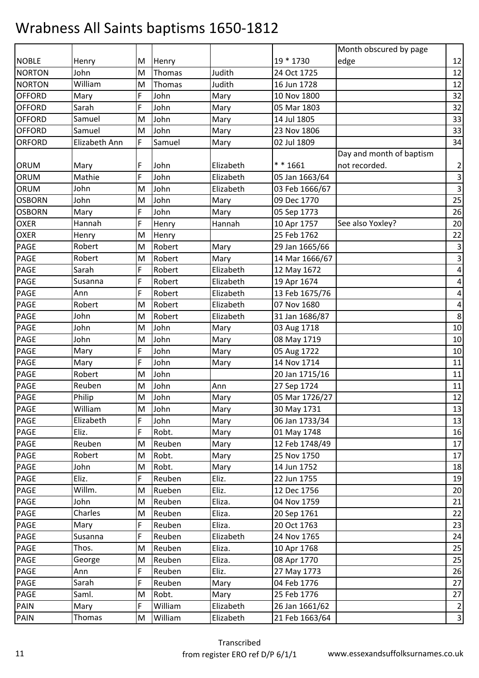|               |               |   |         |           |                | Month obscured by page   |                         |
|---------------|---------------|---|---------|-----------|----------------|--------------------------|-------------------------|
| <b>NOBLE</b>  | Henry         | M | Henry   |           | 19 * 1730      | edge                     | 12                      |
| <b>NORTON</b> | John          | M | Thomas  | Judith    | 24 Oct 1725    |                          | 12                      |
| <b>NORTON</b> | William       | M | Thomas  | Judith    | 16 Jun 1728    |                          | 12                      |
| <b>OFFORD</b> | Mary          | F | John    | Mary      | 10 Nov 1800    |                          | 32                      |
| <b>OFFORD</b> | Sarah         | F | John    | Mary      | 05 Mar 1803    |                          | 32                      |
| <b>OFFORD</b> | Samuel        | M | John    | Mary      | 14 Jul 1805    |                          | 33                      |
| <b>OFFORD</b> | Samuel        | M | John    | Mary      | 23 Nov 1806    |                          | 33                      |
| <b>ORFORD</b> | Elizabeth Ann | F | Samuel  | Mary      | 02 Jul 1809    |                          | 34                      |
|               |               |   |         |           |                | Day and month of baptism |                         |
| ORUM          | Mary          | F | John    | Elizabeth | ** 1661        | not recorded.            | $\overline{2}$          |
| ORUM          | Mathie        | F | John    | Elizabeth | 05 Jan 1663/64 |                          | $\mathsf 3$             |
| ORUM          | John          | M | John    | Elizabeth | 03 Feb 1666/67 |                          | $\mathsf 3$             |
| <b>OSBORN</b> | John          | M | John    | Mary      | 09 Dec 1770    |                          | 25                      |
| <b>OSBORN</b> | Mary          | F | John    | Mary      | 05 Sep 1773    |                          | 26                      |
| <b>OXER</b>   | Hannah        | F | Henry   | Hannah    | 10 Apr 1757    | See also Yoxley?         | 20                      |
| <b>OXER</b>   | Henry         | M | Henry   |           | 25 Feb 1762    |                          | 22                      |
| PAGE          | Robert        | M | Robert  | Mary      | 29 Jan 1665/66 |                          | $\mathsf 3$             |
| <b>PAGE</b>   | Robert        | M | Robert  | Mary      | 14 Mar 1666/67 |                          | $\mathsf{3}$            |
| <b>PAGE</b>   | Sarah         | F | Robert  | Elizabeth | 12 May 1672    |                          | $\pmb{4}$               |
| PAGE          | Susanna       | F | Robert  | Elizabeth | 19 Apr 1674    |                          | 4                       |
| PAGE          | Ann           | F | Robert  | Elizabeth | 13 Feb 1675/76 |                          | $\overline{\mathbf{4}}$ |
| PAGE          | Robert        | M | Robert  | Elizabeth | 07 Nov 1680    |                          | $\pmb{4}$               |
| <b>PAGE</b>   | John          | M | Robert  | Elizabeth | 31 Jan 1686/87 |                          | 8                       |
| PAGE          | John          | M | John    | Mary      | 03 Aug 1718    |                          | 10                      |
| <b>PAGE</b>   | John          | M | John    | Mary      | 08 May 1719    |                          | 10                      |
| <b>PAGE</b>   | Mary          | F | John    | Mary      | 05 Aug 1722    |                          | 10                      |
| PAGE          | Mary          | F | John    | Mary      | 14 Nov 1714    |                          | $11\,$                  |
| <b>PAGE</b>   | Robert        | M | John    |           | 20 Jan 1715/16 |                          | 11                      |
| <b>PAGE</b>   | Reuben        | M | John    | Ann       | 27 Sep 1724    |                          | 11                      |
| PAGE          | Philip        | M | John    | Mary      | 05 Mar 1726/27 |                          | 12                      |
| <b>PAGE</b>   | William       | M | John    | Mary      | 30 May 1731    |                          | 13                      |
| <b>PAGE</b>   | Elizabeth     | F | John    | Mary      | 06 Jan 1733/34 |                          | 13                      |
| <b>PAGE</b>   | Eliz.         | F | Robt.   | Mary      | 01 May 1748    |                          | 16                      |
| <b>PAGE</b>   | Reuben        | M | Reuben  | Mary      | 12 Feb 1748/49 |                          | 17                      |
| <b>PAGE</b>   | Robert        | M | Robt.   | Mary      | 25 Nov 1750    |                          | 17                      |
| <b>PAGE</b>   | John          | M | Robt.   | Mary      | 14 Jun 1752    |                          | 18                      |
| <b>PAGE</b>   | Eliz.         | F | Reuben  | Eliz.     | 22 Jun 1755    |                          | 19                      |
| <b>PAGE</b>   | Willm.        | M | Rueben  | Eliz.     | 12 Dec 1756    |                          | 20                      |
| <b>PAGE</b>   | John          | M | Reuben  | Eliza.    | 04 Nov 1759    |                          | 21                      |
| <b>PAGE</b>   | Charles       | M | Reuben  | Eliza.    | 20 Sep 1761    |                          | 22                      |
| PAGE          | Mary          | F | Reuben  | Eliza.    | 20 Oct 1763    |                          | 23                      |
| PAGE          | Susanna       | F | Reuben  | Elizabeth | 24 Nov 1765    |                          | 24                      |
| <b>PAGE</b>   | Thos.         | M | Reuben  | Eliza.    | 10 Apr 1768    |                          | 25                      |
| <b>PAGE</b>   | George        | M | Reuben  | Eliza.    | 08 Apr 1770    |                          | 25                      |
| <b>PAGE</b>   | Ann           | F | Reuben  | Eliz.     | 27 May 1773    |                          | 26                      |
| <b>PAGE</b>   | Sarah         | F | Reuben  | Mary      | 04 Feb 1776    |                          | 27                      |
| PAGE          | Saml.         | M | Robt.   | Mary      | 25 Feb 1776    |                          | 27                      |
| PAIN          | Mary          | F | William | Elizabeth | 26 Jan 1661/62 |                          | $\overline{2}$          |
| <b>PAIN</b>   | Thomas        | M | William | Elizabeth | 21 Feb 1663/64 |                          | 3                       |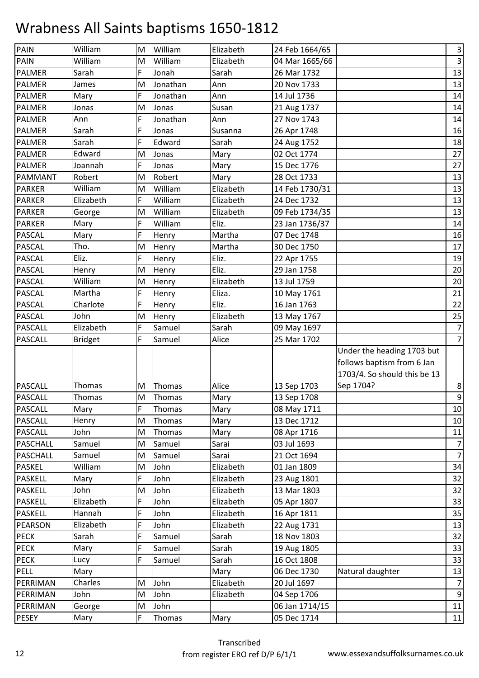| <b>PAIN</b>     | William        | M | William  | Elizabeth | 24 Feb 1664/65 |                              | $\overline{\mathbf{3}}$ |
|-----------------|----------------|---|----------|-----------|----------------|------------------------------|-------------------------|
| <b>PAIN</b>     | William        | M | William  | Elizabeth | 04 Mar 1665/66 |                              | $\mathbf{3}$            |
| <b>PALMER</b>   | Sarah          | F | Jonah    | Sarah     | 26 Mar 1732    |                              | 13                      |
| <b>PALMER</b>   | James          | M | Jonathan | Ann       | 20 Nov 1733    |                              | 13                      |
| <b>PALMER</b>   | Mary           | F | Jonathan | Ann       | 14 Jul 1736    |                              | 14                      |
| <b>PALMER</b>   | Jonas          | M | Jonas    | Susan     | 21 Aug 1737    |                              | 14                      |
| <b>PALMER</b>   | Ann            | F | Jonathan | Ann       | 27 Nov 1743    |                              | 14                      |
| <b>PALMER</b>   | Sarah          | F | Jonas    | Susanna   | 26 Apr 1748    |                              | 16                      |
| <b>PALMER</b>   | Sarah          | F | Edward   | Sarah     | 24 Aug 1752    |                              | 18                      |
| <b>PALMER</b>   | Edward         | M | Jonas    | Mary      | 02 Oct 1774    |                              | 27                      |
| <b>PALMER</b>   | Joannah        | F | Jonas    | Mary      | 15 Dec 1776    |                              | 27                      |
| PAMMANT         | Robert         | M | Robert   | Mary      | 28 Oct 1733    |                              | 13                      |
| <b>PARKER</b>   | William        | M | William  | Elizabeth | 14 Feb 1730/31 |                              | 13                      |
| <b>PARKER</b>   | Elizabeth      | F | William  | Elizabeth | 24 Dec 1732    |                              | 13                      |
| <b>PARKER</b>   | George         | M | William  | Elizabeth | 09 Feb 1734/35 |                              | 13                      |
| <b>PARKER</b>   | Mary           | F | William  | Eliz.     | 23 Jan 1736/37 |                              | 14                      |
| <b>PASCAL</b>   | Mary           | F | Henry    | Martha    | 07 Dec 1748    |                              | 16                      |
| <b>PASCAL</b>   | Tho.           | M | Henry    | Martha    | 30 Dec 1750    |                              | 17                      |
| <b>PASCAL</b>   | Eliz.          | F | Henry    | Eliz.     | 22 Apr 1755    |                              | 19                      |
| <b>PASCAL</b>   | Henry          | M | Henry    | Eliz.     | 29 Jan 1758    |                              | 20                      |
| <b>PASCAL</b>   | William        | M | Henry    | Elizabeth | 13 Jul 1759    |                              | 20                      |
| <b>PASCAL</b>   | Martha         | F | Henry    | Eliza.    | 10 May 1761    |                              | 21                      |
| <b>PASCAL</b>   | Charlote       | F | Henry    | Eliz.     | 16 Jan 1763    |                              | 22                      |
| <b>PASCAL</b>   | John           | M | Henry    | Elizabeth | 13 May 1767    |                              | 25                      |
| <b>PASCALL</b>  | Elizabeth      | F | Samuel   | Sarah     | 09 May 1697    |                              | $\overline{7}$          |
| <b>PASCALL</b>  | <b>Bridget</b> | F | Samuel   | Alice     | 25 Mar 1702    |                              | $\overline{7}$          |
|                 |                |   |          |           |                | Under the heading 1703 but   |                         |
|                 |                |   |          |           |                | follows baptism from 6 Jan   |                         |
|                 |                |   |          |           |                | 1703/4. So should this be 13 |                         |
| <b>PASCALL</b>  | Thomas         | м | Thomas   | Alice     | 13 Sep 1703    | Sep 1704?                    | 8                       |
| PASCALL         | Thomas         | M | Thomas   | Mary      | 13 Sep 1708    |                              | $\overline{9}$          |
| <b>PASCALL</b>  | Mary           | F | Thomas   | Mary      | 08 May 1711    |                              | 10                      |
| <b>PASCALL</b>  | Henry          | M | Thomas   | Mary      | 13 Dec 1712    |                              | 10                      |
| <b>PASCALL</b>  | John           | M | Thomas   | Mary      | 08 Apr 1716    |                              | 11                      |
| <b>PASCHALL</b> | Samuel         | M | Samuel   | Sarai     | 03 Jul 1693    |                              | $\overline{7}$          |
| <b>PASCHALL</b> | Samuel         | M | Samuel   | Sarai     | 21 Oct 1694    |                              | $\overline{7}$          |
| <b>PASKEL</b>   | William        | M | John     | Elizabeth | 01 Jan 1809    |                              | 34                      |
| <b>PASKELL</b>  | Mary           | F | John     | Elizabeth | 23 Aug 1801    |                              | 32                      |
| <b>PASKELL</b>  | John           | M | John     | Elizabeth | 13 Mar 1803    |                              | 32                      |
| <b>PASKELL</b>  | Elizabeth      | F | John     | Elizabeth | 05 Apr 1807    |                              | 33                      |
| <b>PASKELL</b>  | Hannah         | F | John     | Elizabeth | 16 Apr 1811    |                              | 35                      |
| <b>PEARSON</b>  | Elizabeth      | F | John     | Elizabeth | 22 Aug 1731    |                              | 13                      |
| <b>PECK</b>     | Sarah          | F | Samuel   | Sarah     | 18 Nov 1803    |                              | 32                      |
| <b>PECK</b>     | Mary           | F | Samuel   | Sarah     | 19 Aug 1805    |                              | 33                      |
| <b>PECK</b>     | Lucy           | F | Samuel   | Sarah     | 16 Oct 1808    |                              | 33                      |
| <b>PELL</b>     | Mary           |   |          | Mary      | 06 Dec 1730    | Natural daughter             | 13                      |
| PERRIMAN        | Charles        | M | John     | Elizabeth | 20 Jul 1697    |                              | $\overline{7}$          |
| PERRIMAN        | John           | M | John     | Elizabeth | 04 Sep 1706    |                              | $\boldsymbol{9}$        |
| PERRIMAN        |                |   |          |           |                |                              |                         |
|                 | George         | M | John     |           | 06 Jan 1714/15 |                              | 11                      |
| <b>PESEY</b>    | Mary           | F | Thomas   | Mary      | 05 Dec 1714    |                              | 11                      |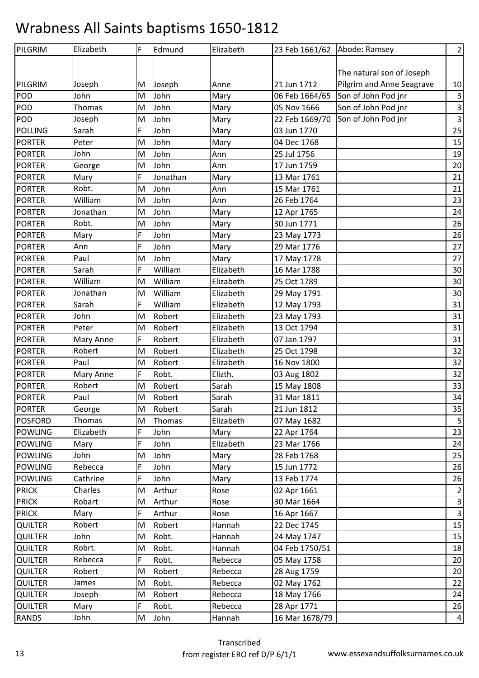| PILGRIM        | Elizabeth | F | Edmund   | Elizabeth | 23 Feb 1661/62 Abode: Ramsey |                           | $\overline{2}$          |
|----------------|-----------|---|----------|-----------|------------------------------|---------------------------|-------------------------|
|                |           |   |          |           |                              |                           |                         |
|                |           |   |          |           |                              | The natural son of Joseph |                         |
| PILGRIM        | Joseph    | M | Joseph   | Anne      | 21 Jun 1712                  | Pilgrim and Anne Seagrave | 10                      |
| <b>POD</b>     | John      | M | John     | Mary      | 06 Feb 1664/65               | Son of John Pod jnr       | $\mathbf{3}$            |
| <b>POD</b>     | Thomas    | M | John     | Mary      | 05 Nov 1666                  | Son of John Pod jnr       | $\overline{\mathbf{3}}$ |
| <b>POD</b>     | Joseph    | M | John     | Mary      | 22 Feb 1669/70               | Son of John Pod jnr       | $\overline{\mathbf{3}}$ |
| <b>POLLING</b> | Sarah     | F | John     | Mary      | 03 Jun 1770                  |                           | 25                      |
| <b>PORTER</b>  | Peter     | M | John     | Mary      | 04 Dec 1768                  |                           | 15                      |
| <b>PORTER</b>  | John      | M | John     | Ann       | 25 Jul 1756                  |                           | 19                      |
| <b>PORTER</b>  | George    | M | John     | Ann       | 17 Jun 1759                  |                           | 20                      |
| <b>PORTER</b>  | Mary      | F | Jonathan | Mary      | 13 Mar 1761                  |                           | 21                      |
| <b>PORTER</b>  | Robt.     | M | John     | Ann       | 15 Mar 1761                  |                           | 21                      |
| <b>PORTER</b>  | William   | M | John     | Ann       | 26 Feb 1764                  |                           | 23                      |
| <b>PORTER</b>  | Jonathan  | M | John     | Mary      | 12 Apr 1765                  |                           | 24                      |
| <b>PORTER</b>  | Robt.     | M | John     | Mary      | 30 Jun 1771                  |                           | 26                      |
| <b>PORTER</b>  | Mary      | F | John     | Mary      | 23 May 1773                  |                           | 26                      |
| <b>PORTER</b>  | Ann       | F | John     | Mary      | 29 Mar 1776                  |                           | 27                      |
| <b>PORTER</b>  | Paul      | M | John     | Mary      | 17 May 1778                  |                           | 27                      |
| <b>PORTER</b>  | Sarah     | F | William  | Elizabeth | 16 Mar 1788                  |                           | 30                      |
| <b>PORTER</b>  | William   | M | William  | Elizabeth | 25 Oct 1789                  |                           | 30                      |
| <b>PORTER</b>  | Jonathan  | M | William  | Elizabeth | 29 May 1791                  |                           | 30                      |
| <b>PORTER</b>  | Sarah     | F | William  | Elizabeth | 12 May 1793                  |                           | 31                      |
| <b>PORTER</b>  | John      | M | Robert   | Elizabeth | 23 May 1793                  |                           | 31                      |
| <b>PORTER</b>  | Peter     | M | Robert   | Elizabeth | 13 Oct 1794                  |                           | 31                      |
| <b>PORTER</b>  | Mary Anne | F | Robert   | Elizabeth | 07 Jan 1797                  |                           | 31                      |
| <b>PORTER</b>  | Robert    | M | Robert   | Elizabeth | 25 Oct 1798                  |                           | 32                      |
| <b>PORTER</b>  | Paul      | M | Robert   | Elizabeth | 16 Nov 1800                  |                           | 32                      |
| <b>PORTER</b>  | Mary Anne | F | Robt.    | Elizth.   | 03 Aug 1802                  |                           | 32                      |
| <b>PORTER</b>  | Robert    | M | Robert   | Sarah     | 15 May 1808                  |                           | 33                      |
| <b>PORTER</b>  | Paul      | M | Robert   | Sarah     | 31 Mar 1811                  |                           | 34                      |
| <b>PORTER</b>  | George    | M | Robert   | Sarah     | 21 Jun 1812                  |                           | 35                      |
| <b>POSFORD</b> | Thomas    | M | Thomas   | Elizabeth | 07 May 1682                  |                           | $\overline{\mathbf{5}}$ |
| <b>POWLING</b> | Elizabeth | F | John     | Mary      | 22 Apr 1764                  |                           | 23                      |
| <b>POWLING</b> | Mary      | F | John     | Elizabeth | 23 Mar 1766                  |                           | 24                      |
| <b>POWLING</b> | John      | M | John     | Mary      | 28 Feb 1768                  |                           | 25                      |
| <b>POWLING</b> | Rebecca   | F | John     | Mary      | 15 Jun 1772                  |                           | 26                      |
| <b>POWLING</b> | Cathrine  | F | John     | Mary      | 13 Feb 1774                  |                           | 26                      |
| <b>PRICK</b>   | Charles   | М | Arthur   | Rose      | 02 Apr 1661                  |                           | $\overline{2}$          |
| <b>PRICK</b>   | Robart    | Μ | Arthur   | Rose      | 30 Mar 1664                  |                           | $\mathsf 3$             |
| <b>PRICK</b>   | Mary      | F | Arthur   | Rose      | 16 Apr 1667                  |                           | $\overline{\mathbf{3}}$ |
| <b>QUILTER</b> | Robert    | M | Robert   | Hannah    | 22 Dec 1745                  |                           | 15                      |
| <b>QUILTER</b> | John      | M | Robt.    | Hannah    | 24 May 1747                  |                           | 15                      |
| <b>QUILTER</b> | Robrt.    | M | Robt.    | Hannah    | 04 Feb 1750/51               |                           | 18                      |
| <b>QUILTER</b> | Rebecca   | F | Robt.    | Rebecca   | 05 May 1758                  |                           | 20                      |
| QUILTER        | Robert    | M | Robert   | Rebecca   | 28 Aug 1759                  |                           | 20                      |
| <b>QUILTER</b> | James     | M | Robt.    | Rebecca   | 02 May 1762                  |                           | 22                      |
| <b>QUILTER</b> | Joseph    | M | Robert   | Rebecca   | 18 May 1766                  |                           | 24                      |
| <b>QUILTER</b> | Mary      | F | Robt.    | Rebecca   | 28 Apr 1771                  |                           | 26                      |
| <b>RANDS</b>   | John      | M | John     | Hannah    | 16 Mar 1678/79               |                           | $\overline{a}$          |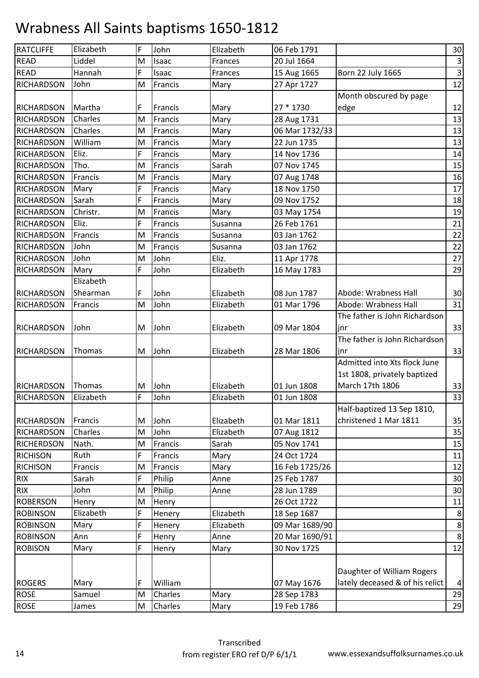| <b>RATCLIFFE</b><br>Elizabeth<br>F<br>Elizabeth<br>06 Feb 1791<br>John<br><b>READ</b><br>Liddel<br>20 Jul 1664<br>M<br><b>Frances</b><br>Isaac<br><b>READ</b><br>Hannah<br>F<br>Born 22 July 1665<br>Frances<br>15 Aug 1665<br>Isaac<br><b>RICHARDSON</b><br>John<br>M<br>27 Apr 1727<br>Francis<br>Mary<br>Month obscured by page<br>Martha<br>F<br>27 * 1730<br>RICHARDSON<br>Francis<br>Mary<br>edge<br>Charles<br><b>RICHARDSON</b><br>M<br>Francis<br>Mary<br>28 Aug 1731<br>Charles<br>RICHARDSON<br>06 Mar 1732/33<br>M<br>Francis<br>Mary<br>William<br><b>RICHARDSON</b><br>M<br>22 Jun 1735<br>Francis<br>Mary<br>Eliz.<br><b>RICHARDSON</b><br>F<br>Francis<br>Mary<br>14 Nov 1736<br>Tho.<br>Sarah<br><b>RICHARDSON</b><br>07 Nov 1745<br>M<br>Francis<br><b>RICHARDSON</b><br>Francis<br>M<br>Francis<br>Mary<br>07 Aug 1748<br>RICHARDSON<br>F<br>18 Nov 1750<br>Mary<br>Francis<br>Mary<br>Sarah<br>F<br><b>RICHARDSON</b><br>09 Nov 1752<br>Francis<br>Mary<br>Christr.<br><b>RICHARDSON</b><br>M<br>03 May 1754<br>Francis<br>Mary<br>F<br>Eliz.<br>26 Feb 1761<br><b>RICHARDSON</b><br>Francis<br>Susanna<br>Francis<br><b>RICHARDSON</b><br>03 Jan 1762<br>M<br>Francis<br>Susanna<br>John<br><b>RICHARDSON</b><br>Francis<br>M<br>Susanna<br>03 Jan 1762<br>John<br>John<br>Eliz.<br><b>RICHARDSON</b><br>M<br>11 Apr 1778<br>F<br>John<br>Elizabeth<br><b>RICHARDSON</b><br>Mary<br>16 May 1783<br>Elizabeth<br>Abode: Wrabness Hall<br><b>RICHARDSON</b><br>Shearman<br>John<br>Elizabeth<br>08 Jun 1787<br>F<br>M<br>John<br>Elizabeth<br>Abode: Wrabness Hall<br><b>RICHARDSON</b><br>Francis<br>01 Mar 1796<br>The father is John Richardson<br>John<br>John<br>09 Mar 1804<br><b>RICHARDSON</b><br>M<br>Elizabeth<br>jnr<br>The father is John Richardson<br><b>RICHARDSON</b><br>Thomas<br>John<br>Elizabeth<br>28 Mar 1806<br>M<br>inr<br>Admitted into Xts flock June<br>1st 1808, privately baptized<br>March 17th 1806<br>Thomas<br><b>RICHARDSON</b><br>John<br>Elizabeth<br>01 Jun 1808<br>M<br>F<br>John<br><b>RICHARDSON</b><br>Elizabeth<br>01 Jun 1808<br>Elizabeth<br>Half-baptized 13 Sep 1810,<br>christened 1 Mar 1811<br>John<br>Elizabeth<br>01 Mar 1811<br><b>RICHARDSON</b><br>Francis<br>M<br>Charles<br>John<br>Elizabeth<br>RICHARDSON<br>M<br>07 Aug 1812<br>Nath.<br>05 Nov 1741<br><b>RICHERDSON</b><br>Francis<br>Sarah<br>M<br>Ruth<br>F<br>24 Oct 1724<br><b>RICHISON</b><br>Francis<br>Mary<br><b>RICHISON</b><br>Francis<br>Francis<br>16 Feb 1725/26<br>M<br>Mary<br><b>RIX</b><br>F<br>Philip<br>25 Feb 1787<br>Sarah<br>Anne<br><b>RIX</b><br>John<br>M<br>28 Jun 1789<br>Philip<br>Anne<br><b>ROBERSON</b><br>26 Oct 1722<br>Henry<br>M<br>Henry<br>F<br>Elizabeth<br><b>ROBINSON</b><br>Elizabeth<br>18 Sep 1687<br>Henery<br>F<br>Elizabeth<br>09 Mar 1689/90<br><b>ROBINSON</b><br>Mary<br>Henery<br>F<br><b>ROBINSON</b><br>20 Mar 1690/91<br>Ann<br>Henry<br>Anne<br>F<br>30 Nov 1725<br><b>ROBISON</b><br>Mary<br>Henry<br>Mary<br>Daughter of William Rogers<br>lately deceased & of his relict<br><b>ROGERS</b><br>Mary<br>William<br>07 May 1676<br>F<br><b>ROSE</b><br>Samuel<br>Charles<br>Mary<br>28 Sep 1783<br>M<br><b>ROSE</b><br>19 Feb 1786<br>Charles<br>James<br>M<br>Mary |  |  |  |                |
|-----------------------------------------------------------------------------------------------------------------------------------------------------------------------------------------------------------------------------------------------------------------------------------------------------------------------------------------------------------------------------------------------------------------------------------------------------------------------------------------------------------------------------------------------------------------------------------------------------------------------------------------------------------------------------------------------------------------------------------------------------------------------------------------------------------------------------------------------------------------------------------------------------------------------------------------------------------------------------------------------------------------------------------------------------------------------------------------------------------------------------------------------------------------------------------------------------------------------------------------------------------------------------------------------------------------------------------------------------------------------------------------------------------------------------------------------------------------------------------------------------------------------------------------------------------------------------------------------------------------------------------------------------------------------------------------------------------------------------------------------------------------------------------------------------------------------------------------------------------------------------------------------------------------------------------------------------------------------------------------------------------------------------------------------------------------------------------------------------------------------------------------------------------------------------------------------------------------------------------------------------------------------------------------------------------------------------------------------------------------------------------------------------------------------------------------------------------------------------------------------------------------------------------------------------------------------------------------------------------------------------------------------------------------------------------------------------------------------------------------------------------------------------------------------------------------------------------------------------------------------------------------------------------------------------------------------------------------------------------------------------------------------------------------------------------------------------------------------------------------------------------------------------------------------------------------------------------------------------------------------------------|--|--|--|----------------|
|                                                                                                                                                                                                                                                                                                                                                                                                                                                                                                                                                                                                                                                                                                                                                                                                                                                                                                                                                                                                                                                                                                                                                                                                                                                                                                                                                                                                                                                                                                                                                                                                                                                                                                                                                                                                                                                                                                                                                                                                                                                                                                                                                                                                                                                                                                                                                                                                                                                                                                                                                                                                                                                                                                                                                                                                                                                                                                                                                                                                                                                                                                                                                                                                                                                           |  |  |  | 30             |
|                                                                                                                                                                                                                                                                                                                                                                                                                                                                                                                                                                                                                                                                                                                                                                                                                                                                                                                                                                                                                                                                                                                                                                                                                                                                                                                                                                                                                                                                                                                                                                                                                                                                                                                                                                                                                                                                                                                                                                                                                                                                                                                                                                                                                                                                                                                                                                                                                                                                                                                                                                                                                                                                                                                                                                                                                                                                                                                                                                                                                                                                                                                                                                                                                                                           |  |  |  | $\mathsf 3$    |
|                                                                                                                                                                                                                                                                                                                                                                                                                                                                                                                                                                                                                                                                                                                                                                                                                                                                                                                                                                                                                                                                                                                                                                                                                                                                                                                                                                                                                                                                                                                                                                                                                                                                                                                                                                                                                                                                                                                                                                                                                                                                                                                                                                                                                                                                                                                                                                                                                                                                                                                                                                                                                                                                                                                                                                                                                                                                                                                                                                                                                                                                                                                                                                                                                                                           |  |  |  | υ              |
|                                                                                                                                                                                                                                                                                                                                                                                                                                                                                                                                                                                                                                                                                                                                                                                                                                                                                                                                                                                                                                                                                                                                                                                                                                                                                                                                                                                                                                                                                                                                                                                                                                                                                                                                                                                                                                                                                                                                                                                                                                                                                                                                                                                                                                                                                                                                                                                                                                                                                                                                                                                                                                                                                                                                                                                                                                                                                                                                                                                                                                                                                                                                                                                                                                                           |  |  |  | 12             |
|                                                                                                                                                                                                                                                                                                                                                                                                                                                                                                                                                                                                                                                                                                                                                                                                                                                                                                                                                                                                                                                                                                                                                                                                                                                                                                                                                                                                                                                                                                                                                                                                                                                                                                                                                                                                                                                                                                                                                                                                                                                                                                                                                                                                                                                                                                                                                                                                                                                                                                                                                                                                                                                                                                                                                                                                                                                                                                                                                                                                                                                                                                                                                                                                                                                           |  |  |  |                |
|                                                                                                                                                                                                                                                                                                                                                                                                                                                                                                                                                                                                                                                                                                                                                                                                                                                                                                                                                                                                                                                                                                                                                                                                                                                                                                                                                                                                                                                                                                                                                                                                                                                                                                                                                                                                                                                                                                                                                                                                                                                                                                                                                                                                                                                                                                                                                                                                                                                                                                                                                                                                                                                                                                                                                                                                                                                                                                                                                                                                                                                                                                                                                                                                                                                           |  |  |  | 12             |
|                                                                                                                                                                                                                                                                                                                                                                                                                                                                                                                                                                                                                                                                                                                                                                                                                                                                                                                                                                                                                                                                                                                                                                                                                                                                                                                                                                                                                                                                                                                                                                                                                                                                                                                                                                                                                                                                                                                                                                                                                                                                                                                                                                                                                                                                                                                                                                                                                                                                                                                                                                                                                                                                                                                                                                                                                                                                                                                                                                                                                                                                                                                                                                                                                                                           |  |  |  | 13             |
|                                                                                                                                                                                                                                                                                                                                                                                                                                                                                                                                                                                                                                                                                                                                                                                                                                                                                                                                                                                                                                                                                                                                                                                                                                                                                                                                                                                                                                                                                                                                                                                                                                                                                                                                                                                                                                                                                                                                                                                                                                                                                                                                                                                                                                                                                                                                                                                                                                                                                                                                                                                                                                                                                                                                                                                                                                                                                                                                                                                                                                                                                                                                                                                                                                                           |  |  |  | 13             |
|                                                                                                                                                                                                                                                                                                                                                                                                                                                                                                                                                                                                                                                                                                                                                                                                                                                                                                                                                                                                                                                                                                                                                                                                                                                                                                                                                                                                                                                                                                                                                                                                                                                                                                                                                                                                                                                                                                                                                                                                                                                                                                                                                                                                                                                                                                                                                                                                                                                                                                                                                                                                                                                                                                                                                                                                                                                                                                                                                                                                                                                                                                                                                                                                                                                           |  |  |  | 13             |
|                                                                                                                                                                                                                                                                                                                                                                                                                                                                                                                                                                                                                                                                                                                                                                                                                                                                                                                                                                                                                                                                                                                                                                                                                                                                                                                                                                                                                                                                                                                                                                                                                                                                                                                                                                                                                                                                                                                                                                                                                                                                                                                                                                                                                                                                                                                                                                                                                                                                                                                                                                                                                                                                                                                                                                                                                                                                                                                                                                                                                                                                                                                                                                                                                                                           |  |  |  | 14             |
|                                                                                                                                                                                                                                                                                                                                                                                                                                                                                                                                                                                                                                                                                                                                                                                                                                                                                                                                                                                                                                                                                                                                                                                                                                                                                                                                                                                                                                                                                                                                                                                                                                                                                                                                                                                                                                                                                                                                                                                                                                                                                                                                                                                                                                                                                                                                                                                                                                                                                                                                                                                                                                                                                                                                                                                                                                                                                                                                                                                                                                                                                                                                                                                                                                                           |  |  |  | 15             |
|                                                                                                                                                                                                                                                                                                                                                                                                                                                                                                                                                                                                                                                                                                                                                                                                                                                                                                                                                                                                                                                                                                                                                                                                                                                                                                                                                                                                                                                                                                                                                                                                                                                                                                                                                                                                                                                                                                                                                                                                                                                                                                                                                                                                                                                                                                                                                                                                                                                                                                                                                                                                                                                                                                                                                                                                                                                                                                                                                                                                                                                                                                                                                                                                                                                           |  |  |  | 16             |
|                                                                                                                                                                                                                                                                                                                                                                                                                                                                                                                                                                                                                                                                                                                                                                                                                                                                                                                                                                                                                                                                                                                                                                                                                                                                                                                                                                                                                                                                                                                                                                                                                                                                                                                                                                                                                                                                                                                                                                                                                                                                                                                                                                                                                                                                                                                                                                                                                                                                                                                                                                                                                                                                                                                                                                                                                                                                                                                                                                                                                                                                                                                                                                                                                                                           |  |  |  | 17             |
|                                                                                                                                                                                                                                                                                                                                                                                                                                                                                                                                                                                                                                                                                                                                                                                                                                                                                                                                                                                                                                                                                                                                                                                                                                                                                                                                                                                                                                                                                                                                                                                                                                                                                                                                                                                                                                                                                                                                                                                                                                                                                                                                                                                                                                                                                                                                                                                                                                                                                                                                                                                                                                                                                                                                                                                                                                                                                                                                                                                                                                                                                                                                                                                                                                                           |  |  |  | 18             |
|                                                                                                                                                                                                                                                                                                                                                                                                                                                                                                                                                                                                                                                                                                                                                                                                                                                                                                                                                                                                                                                                                                                                                                                                                                                                                                                                                                                                                                                                                                                                                                                                                                                                                                                                                                                                                                                                                                                                                                                                                                                                                                                                                                                                                                                                                                                                                                                                                                                                                                                                                                                                                                                                                                                                                                                                                                                                                                                                                                                                                                                                                                                                                                                                                                                           |  |  |  | 19             |
|                                                                                                                                                                                                                                                                                                                                                                                                                                                                                                                                                                                                                                                                                                                                                                                                                                                                                                                                                                                                                                                                                                                                                                                                                                                                                                                                                                                                                                                                                                                                                                                                                                                                                                                                                                                                                                                                                                                                                                                                                                                                                                                                                                                                                                                                                                                                                                                                                                                                                                                                                                                                                                                                                                                                                                                                                                                                                                                                                                                                                                                                                                                                                                                                                                                           |  |  |  | 21             |
|                                                                                                                                                                                                                                                                                                                                                                                                                                                                                                                                                                                                                                                                                                                                                                                                                                                                                                                                                                                                                                                                                                                                                                                                                                                                                                                                                                                                                                                                                                                                                                                                                                                                                                                                                                                                                                                                                                                                                                                                                                                                                                                                                                                                                                                                                                                                                                                                                                                                                                                                                                                                                                                                                                                                                                                                                                                                                                                                                                                                                                                                                                                                                                                                                                                           |  |  |  | 22             |
|                                                                                                                                                                                                                                                                                                                                                                                                                                                                                                                                                                                                                                                                                                                                                                                                                                                                                                                                                                                                                                                                                                                                                                                                                                                                                                                                                                                                                                                                                                                                                                                                                                                                                                                                                                                                                                                                                                                                                                                                                                                                                                                                                                                                                                                                                                                                                                                                                                                                                                                                                                                                                                                                                                                                                                                                                                                                                                                                                                                                                                                                                                                                                                                                                                                           |  |  |  | 22             |
|                                                                                                                                                                                                                                                                                                                                                                                                                                                                                                                                                                                                                                                                                                                                                                                                                                                                                                                                                                                                                                                                                                                                                                                                                                                                                                                                                                                                                                                                                                                                                                                                                                                                                                                                                                                                                                                                                                                                                                                                                                                                                                                                                                                                                                                                                                                                                                                                                                                                                                                                                                                                                                                                                                                                                                                                                                                                                                                                                                                                                                                                                                                                                                                                                                                           |  |  |  | 27             |
|                                                                                                                                                                                                                                                                                                                                                                                                                                                                                                                                                                                                                                                                                                                                                                                                                                                                                                                                                                                                                                                                                                                                                                                                                                                                                                                                                                                                                                                                                                                                                                                                                                                                                                                                                                                                                                                                                                                                                                                                                                                                                                                                                                                                                                                                                                                                                                                                                                                                                                                                                                                                                                                                                                                                                                                                                                                                                                                                                                                                                                                                                                                                                                                                                                                           |  |  |  | 29             |
|                                                                                                                                                                                                                                                                                                                                                                                                                                                                                                                                                                                                                                                                                                                                                                                                                                                                                                                                                                                                                                                                                                                                                                                                                                                                                                                                                                                                                                                                                                                                                                                                                                                                                                                                                                                                                                                                                                                                                                                                                                                                                                                                                                                                                                                                                                                                                                                                                                                                                                                                                                                                                                                                                                                                                                                                                                                                                                                                                                                                                                                                                                                                                                                                                                                           |  |  |  |                |
|                                                                                                                                                                                                                                                                                                                                                                                                                                                                                                                                                                                                                                                                                                                                                                                                                                                                                                                                                                                                                                                                                                                                                                                                                                                                                                                                                                                                                                                                                                                                                                                                                                                                                                                                                                                                                                                                                                                                                                                                                                                                                                                                                                                                                                                                                                                                                                                                                                                                                                                                                                                                                                                                                                                                                                                                                                                                                                                                                                                                                                                                                                                                                                                                                                                           |  |  |  | 30             |
|                                                                                                                                                                                                                                                                                                                                                                                                                                                                                                                                                                                                                                                                                                                                                                                                                                                                                                                                                                                                                                                                                                                                                                                                                                                                                                                                                                                                                                                                                                                                                                                                                                                                                                                                                                                                                                                                                                                                                                                                                                                                                                                                                                                                                                                                                                                                                                                                                                                                                                                                                                                                                                                                                                                                                                                                                                                                                                                                                                                                                                                                                                                                                                                                                                                           |  |  |  | 31             |
|                                                                                                                                                                                                                                                                                                                                                                                                                                                                                                                                                                                                                                                                                                                                                                                                                                                                                                                                                                                                                                                                                                                                                                                                                                                                                                                                                                                                                                                                                                                                                                                                                                                                                                                                                                                                                                                                                                                                                                                                                                                                                                                                                                                                                                                                                                                                                                                                                                                                                                                                                                                                                                                                                                                                                                                                                                                                                                                                                                                                                                                                                                                                                                                                                                                           |  |  |  |                |
|                                                                                                                                                                                                                                                                                                                                                                                                                                                                                                                                                                                                                                                                                                                                                                                                                                                                                                                                                                                                                                                                                                                                                                                                                                                                                                                                                                                                                                                                                                                                                                                                                                                                                                                                                                                                                                                                                                                                                                                                                                                                                                                                                                                                                                                                                                                                                                                                                                                                                                                                                                                                                                                                                                                                                                                                                                                                                                                                                                                                                                                                                                                                                                                                                                                           |  |  |  | 33             |
|                                                                                                                                                                                                                                                                                                                                                                                                                                                                                                                                                                                                                                                                                                                                                                                                                                                                                                                                                                                                                                                                                                                                                                                                                                                                                                                                                                                                                                                                                                                                                                                                                                                                                                                                                                                                                                                                                                                                                                                                                                                                                                                                                                                                                                                                                                                                                                                                                                                                                                                                                                                                                                                                                                                                                                                                                                                                                                                                                                                                                                                                                                                                                                                                                                                           |  |  |  |                |
|                                                                                                                                                                                                                                                                                                                                                                                                                                                                                                                                                                                                                                                                                                                                                                                                                                                                                                                                                                                                                                                                                                                                                                                                                                                                                                                                                                                                                                                                                                                                                                                                                                                                                                                                                                                                                                                                                                                                                                                                                                                                                                                                                                                                                                                                                                                                                                                                                                                                                                                                                                                                                                                                                                                                                                                                                                                                                                                                                                                                                                                                                                                                                                                                                                                           |  |  |  | 33             |
|                                                                                                                                                                                                                                                                                                                                                                                                                                                                                                                                                                                                                                                                                                                                                                                                                                                                                                                                                                                                                                                                                                                                                                                                                                                                                                                                                                                                                                                                                                                                                                                                                                                                                                                                                                                                                                                                                                                                                                                                                                                                                                                                                                                                                                                                                                                                                                                                                                                                                                                                                                                                                                                                                                                                                                                                                                                                                                                                                                                                                                                                                                                                                                                                                                                           |  |  |  |                |
|                                                                                                                                                                                                                                                                                                                                                                                                                                                                                                                                                                                                                                                                                                                                                                                                                                                                                                                                                                                                                                                                                                                                                                                                                                                                                                                                                                                                                                                                                                                                                                                                                                                                                                                                                                                                                                                                                                                                                                                                                                                                                                                                                                                                                                                                                                                                                                                                                                                                                                                                                                                                                                                                                                                                                                                                                                                                                                                                                                                                                                                                                                                                                                                                                                                           |  |  |  |                |
|                                                                                                                                                                                                                                                                                                                                                                                                                                                                                                                                                                                                                                                                                                                                                                                                                                                                                                                                                                                                                                                                                                                                                                                                                                                                                                                                                                                                                                                                                                                                                                                                                                                                                                                                                                                                                                                                                                                                                                                                                                                                                                                                                                                                                                                                                                                                                                                                                                                                                                                                                                                                                                                                                                                                                                                                                                                                                                                                                                                                                                                                                                                                                                                                                                                           |  |  |  | 33             |
|                                                                                                                                                                                                                                                                                                                                                                                                                                                                                                                                                                                                                                                                                                                                                                                                                                                                                                                                                                                                                                                                                                                                                                                                                                                                                                                                                                                                                                                                                                                                                                                                                                                                                                                                                                                                                                                                                                                                                                                                                                                                                                                                                                                                                                                                                                                                                                                                                                                                                                                                                                                                                                                                                                                                                                                                                                                                                                                                                                                                                                                                                                                                                                                                                                                           |  |  |  | 33             |
|                                                                                                                                                                                                                                                                                                                                                                                                                                                                                                                                                                                                                                                                                                                                                                                                                                                                                                                                                                                                                                                                                                                                                                                                                                                                                                                                                                                                                                                                                                                                                                                                                                                                                                                                                                                                                                                                                                                                                                                                                                                                                                                                                                                                                                                                                                                                                                                                                                                                                                                                                                                                                                                                                                                                                                                                                                                                                                                                                                                                                                                                                                                                                                                                                                                           |  |  |  |                |
|                                                                                                                                                                                                                                                                                                                                                                                                                                                                                                                                                                                                                                                                                                                                                                                                                                                                                                                                                                                                                                                                                                                                                                                                                                                                                                                                                                                                                                                                                                                                                                                                                                                                                                                                                                                                                                                                                                                                                                                                                                                                                                                                                                                                                                                                                                                                                                                                                                                                                                                                                                                                                                                                                                                                                                                                                                                                                                                                                                                                                                                                                                                                                                                                                                                           |  |  |  | 35             |
|                                                                                                                                                                                                                                                                                                                                                                                                                                                                                                                                                                                                                                                                                                                                                                                                                                                                                                                                                                                                                                                                                                                                                                                                                                                                                                                                                                                                                                                                                                                                                                                                                                                                                                                                                                                                                                                                                                                                                                                                                                                                                                                                                                                                                                                                                                                                                                                                                                                                                                                                                                                                                                                                                                                                                                                                                                                                                                                                                                                                                                                                                                                                                                                                                                                           |  |  |  | 35             |
|                                                                                                                                                                                                                                                                                                                                                                                                                                                                                                                                                                                                                                                                                                                                                                                                                                                                                                                                                                                                                                                                                                                                                                                                                                                                                                                                                                                                                                                                                                                                                                                                                                                                                                                                                                                                                                                                                                                                                                                                                                                                                                                                                                                                                                                                                                                                                                                                                                                                                                                                                                                                                                                                                                                                                                                                                                                                                                                                                                                                                                                                                                                                                                                                                                                           |  |  |  | 15             |
|                                                                                                                                                                                                                                                                                                                                                                                                                                                                                                                                                                                                                                                                                                                                                                                                                                                                                                                                                                                                                                                                                                                                                                                                                                                                                                                                                                                                                                                                                                                                                                                                                                                                                                                                                                                                                                                                                                                                                                                                                                                                                                                                                                                                                                                                                                                                                                                                                                                                                                                                                                                                                                                                                                                                                                                                                                                                                                                                                                                                                                                                                                                                                                                                                                                           |  |  |  | 11             |
|                                                                                                                                                                                                                                                                                                                                                                                                                                                                                                                                                                                                                                                                                                                                                                                                                                                                                                                                                                                                                                                                                                                                                                                                                                                                                                                                                                                                                                                                                                                                                                                                                                                                                                                                                                                                                                                                                                                                                                                                                                                                                                                                                                                                                                                                                                                                                                                                                                                                                                                                                                                                                                                                                                                                                                                                                                                                                                                                                                                                                                                                                                                                                                                                                                                           |  |  |  | 12             |
|                                                                                                                                                                                                                                                                                                                                                                                                                                                                                                                                                                                                                                                                                                                                                                                                                                                                                                                                                                                                                                                                                                                                                                                                                                                                                                                                                                                                                                                                                                                                                                                                                                                                                                                                                                                                                                                                                                                                                                                                                                                                                                                                                                                                                                                                                                                                                                                                                                                                                                                                                                                                                                                                                                                                                                                                                                                                                                                                                                                                                                                                                                                                                                                                                                                           |  |  |  | 30             |
|                                                                                                                                                                                                                                                                                                                                                                                                                                                                                                                                                                                                                                                                                                                                                                                                                                                                                                                                                                                                                                                                                                                                                                                                                                                                                                                                                                                                                                                                                                                                                                                                                                                                                                                                                                                                                                                                                                                                                                                                                                                                                                                                                                                                                                                                                                                                                                                                                                                                                                                                                                                                                                                                                                                                                                                                                                                                                                                                                                                                                                                                                                                                                                                                                                                           |  |  |  | 30             |
|                                                                                                                                                                                                                                                                                                                                                                                                                                                                                                                                                                                                                                                                                                                                                                                                                                                                                                                                                                                                                                                                                                                                                                                                                                                                                                                                                                                                                                                                                                                                                                                                                                                                                                                                                                                                                                                                                                                                                                                                                                                                                                                                                                                                                                                                                                                                                                                                                                                                                                                                                                                                                                                                                                                                                                                                                                                                                                                                                                                                                                                                                                                                                                                                                                                           |  |  |  | 11             |
|                                                                                                                                                                                                                                                                                                                                                                                                                                                                                                                                                                                                                                                                                                                                                                                                                                                                                                                                                                                                                                                                                                                                                                                                                                                                                                                                                                                                                                                                                                                                                                                                                                                                                                                                                                                                                                                                                                                                                                                                                                                                                                                                                                                                                                                                                                                                                                                                                                                                                                                                                                                                                                                                                                                                                                                                                                                                                                                                                                                                                                                                                                                                                                                                                                                           |  |  |  | $\bf 8$        |
|                                                                                                                                                                                                                                                                                                                                                                                                                                                                                                                                                                                                                                                                                                                                                                                                                                                                                                                                                                                                                                                                                                                                                                                                                                                                                                                                                                                                                                                                                                                                                                                                                                                                                                                                                                                                                                                                                                                                                                                                                                                                                                                                                                                                                                                                                                                                                                                                                                                                                                                                                                                                                                                                                                                                                                                                                                                                                                                                                                                                                                                                                                                                                                                                                                                           |  |  |  | $\bf 8$        |
|                                                                                                                                                                                                                                                                                                                                                                                                                                                                                                                                                                                                                                                                                                                                                                                                                                                                                                                                                                                                                                                                                                                                                                                                                                                                                                                                                                                                                                                                                                                                                                                                                                                                                                                                                                                                                                                                                                                                                                                                                                                                                                                                                                                                                                                                                                                                                                                                                                                                                                                                                                                                                                                                                                                                                                                                                                                                                                                                                                                                                                                                                                                                                                                                                                                           |  |  |  | $\bf 8$        |
|                                                                                                                                                                                                                                                                                                                                                                                                                                                                                                                                                                                                                                                                                                                                                                                                                                                                                                                                                                                                                                                                                                                                                                                                                                                                                                                                                                                                                                                                                                                                                                                                                                                                                                                                                                                                                                                                                                                                                                                                                                                                                                                                                                                                                                                                                                                                                                                                                                                                                                                                                                                                                                                                                                                                                                                                                                                                                                                                                                                                                                                                                                                                                                                                                                                           |  |  |  | 12             |
|                                                                                                                                                                                                                                                                                                                                                                                                                                                                                                                                                                                                                                                                                                                                                                                                                                                                                                                                                                                                                                                                                                                                                                                                                                                                                                                                                                                                                                                                                                                                                                                                                                                                                                                                                                                                                                                                                                                                                                                                                                                                                                                                                                                                                                                                                                                                                                                                                                                                                                                                                                                                                                                                                                                                                                                                                                                                                                                                                                                                                                                                                                                                                                                                                                                           |  |  |  |                |
|                                                                                                                                                                                                                                                                                                                                                                                                                                                                                                                                                                                                                                                                                                                                                                                                                                                                                                                                                                                                                                                                                                                                                                                                                                                                                                                                                                                                                                                                                                                                                                                                                                                                                                                                                                                                                                                                                                                                                                                                                                                                                                                                                                                                                                                                                                                                                                                                                                                                                                                                                                                                                                                                                                                                                                                                                                                                                                                                                                                                                                                                                                                                                                                                                                                           |  |  |  |                |
|                                                                                                                                                                                                                                                                                                                                                                                                                                                                                                                                                                                                                                                                                                                                                                                                                                                                                                                                                                                                                                                                                                                                                                                                                                                                                                                                                                                                                                                                                                                                                                                                                                                                                                                                                                                                                                                                                                                                                                                                                                                                                                                                                                                                                                                                                                                                                                                                                                                                                                                                                                                                                                                                                                                                                                                                                                                                                                                                                                                                                                                                                                                                                                                                                                                           |  |  |  | $\overline{4}$ |
|                                                                                                                                                                                                                                                                                                                                                                                                                                                                                                                                                                                                                                                                                                                                                                                                                                                                                                                                                                                                                                                                                                                                                                                                                                                                                                                                                                                                                                                                                                                                                                                                                                                                                                                                                                                                                                                                                                                                                                                                                                                                                                                                                                                                                                                                                                                                                                                                                                                                                                                                                                                                                                                                                                                                                                                                                                                                                                                                                                                                                                                                                                                                                                                                                                                           |  |  |  | 29             |
|                                                                                                                                                                                                                                                                                                                                                                                                                                                                                                                                                                                                                                                                                                                                                                                                                                                                                                                                                                                                                                                                                                                                                                                                                                                                                                                                                                                                                                                                                                                                                                                                                                                                                                                                                                                                                                                                                                                                                                                                                                                                                                                                                                                                                                                                                                                                                                                                                                                                                                                                                                                                                                                                                                                                                                                                                                                                                                                                                                                                                                                                                                                                                                                                                                                           |  |  |  | 29             |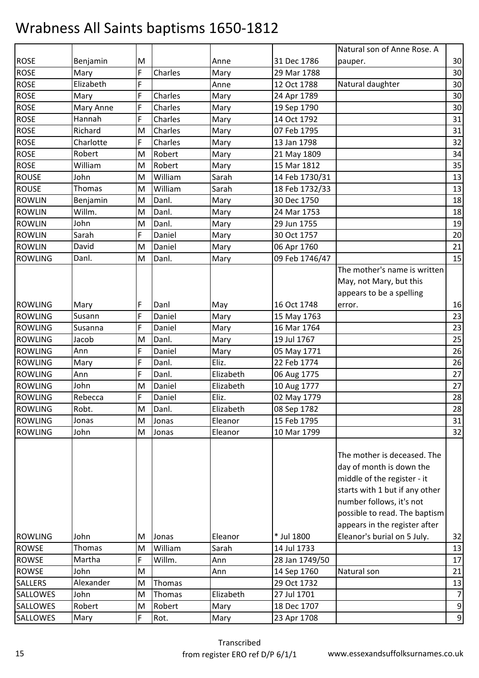| 30<br>Benjamin<br>M<br>31 Dec 1786<br>Anne<br>pauper.<br>30<br>F<br>Charles<br>Mary<br>29 Mar 1788<br>Mary<br>F<br>Elizabeth<br>30<br>12 Oct 1788<br>Natural daughter<br>Anne<br>F<br>Charles<br>30<br>Mary<br>24 Apr 1789<br>Mary<br>30<br>Mary Anne<br>F<br>Charles<br>19 Sep 1790<br>Mary<br>F<br>Charles<br>31<br>Hannah<br>14 Oct 1792<br>Mary<br>31<br>Richard<br>M<br>Charles<br>07 Feb 1795<br>Mary<br>32<br>F<br>Charles<br>Charlotte<br>13 Jan 1798<br>Mary<br>Robert<br>Robert<br>34<br>M<br>Mary<br>21 May 1809<br>Robert<br>35<br>William<br>15 Mar 1812<br>M<br>Mary<br>William<br>John<br>Sarah<br>13<br>M<br>14 Feb 1730/31<br>Thomas<br>William<br>13<br>Sarah<br>18 Feb 1732/33<br>M<br>Danl.<br>18<br>30 Dec 1750<br>M<br>Benjamin<br>Mary<br>Willm.<br>Danl.<br>18<br>24 Mar 1753<br>M<br>Mary<br>19<br>John<br>Danl.<br>29 Jun 1755<br>M<br>Mary<br>F<br>Sarah<br>Daniel<br>20<br>30 Oct 1757<br>Mary<br>21<br>David<br>M<br>Daniel<br>06 Apr 1760<br>Mary<br>Danl.<br>15<br>Danl.<br>09 Feb 1746/47<br>M<br>Mary<br>The mother's name is written<br>May, not Mary, but this<br>appears to be a spelling<br>16<br>F<br>Danl<br>16 Oct 1748<br>Mary<br>May<br>error.<br>F<br>Daniel<br>23<br>Susann<br>Mary<br>15 May 1763<br>F<br>Daniel<br>16 Mar 1764<br>23<br>Susanna<br>Mary<br>25<br>Jacob<br>M<br>Danl.<br>19 Jul 1767<br>Mary<br>F<br>26<br>Daniel<br>Ann<br>05 May 1771<br>Mary<br>F<br>Eliz.<br>26<br>Danl.<br>22 Feb 1774<br>Mary<br>F<br>Danl.<br>27<br>Elizabeth<br>Ann<br>06 Aug 1775<br>John<br>27<br>M<br>Daniel<br>Elizabeth<br>10 Aug 1777<br>28<br>F<br>Daniel<br>Eliz.<br>02 May 1779<br>Rebecca<br>Robt.<br>Danl.<br>Elizabeth<br>28<br>M<br>08 Sep 1782<br>31<br>15 Feb 1795<br>M<br>Eleanor<br>Jonas<br>Jonas<br>32<br>John<br>10 Mar 1799<br>M<br>Jonas<br>Eleanor<br>The mother is deceased. The<br>day of month is down the<br>middle of the register - it<br>starts with 1 but if any other<br>number follows, it's not<br>possible to read. The baptism<br>appears in the register after<br>* Jul 1800<br>Eleanor's burial on 5 July.<br>32<br>John<br>Eleanor<br>Μ<br>Jonas<br><b>ROWSE</b><br>Thomas<br>William<br>Sarah<br>14 Jul 1733<br>13<br>M<br>Willm.<br><b>ROWSE</b><br>Martha<br>F<br>28 Jan 1749/50<br>Ann<br><b>ROWSE</b><br>John<br>M<br>14 Sep 1760<br>Natural son<br>21<br>Ann<br>Alexander<br>Thomas<br>29 Oct 1732<br>13<br>M<br>Thomas<br>Elizabeth<br>27 Jul 1701<br>$\overline{7}$<br>John<br>M<br>$\boldsymbol{9}$<br>Robert<br>Robert<br>18 Dec 1707<br>Mary<br>M<br>F<br>Rot.<br>23 Apr 1708<br>9<br>Mary<br>Mary |                 |  |  | Natural son of Anne Rose. A |  |
|-------------------------------------------------------------------------------------------------------------------------------------------------------------------------------------------------------------------------------------------------------------------------------------------------------------------------------------------------------------------------------------------------------------------------------------------------------------------------------------------------------------------------------------------------------------------------------------------------------------------------------------------------------------------------------------------------------------------------------------------------------------------------------------------------------------------------------------------------------------------------------------------------------------------------------------------------------------------------------------------------------------------------------------------------------------------------------------------------------------------------------------------------------------------------------------------------------------------------------------------------------------------------------------------------------------------------------------------------------------------------------------------------------------------------------------------------------------------------------------------------------------------------------------------------------------------------------------------------------------------------------------------------------------------------------------------------------------------------------------------------------------------------------------------------------------------------------------------------------------------------------------------------------------------------------------------------------------------------------------------------------------------------------------------------------------------------------------------------------------------------------------------------------------------------------------------------------------------------------------------------------------------------------------------------------------------------------------------------------------------------------------------------------------------------------------------------------------------------------------------------------------------------------------------------------------------------------------------|-----------------|--|--|-----------------------------|--|
| 17                                                                                                                                                                                                                                                                                                                                                                                                                                                                                                                                                                                                                                                                                                                                                                                                                                                                                                                                                                                                                                                                                                                                                                                                                                                                                                                                                                                                                                                                                                                                                                                                                                                                                                                                                                                                                                                                                                                                                                                                                                                                                                                                                                                                                                                                                                                                                                                                                                                                                                                                                                                        | <b>ROSE</b>     |  |  |                             |  |
|                                                                                                                                                                                                                                                                                                                                                                                                                                                                                                                                                                                                                                                                                                                                                                                                                                                                                                                                                                                                                                                                                                                                                                                                                                                                                                                                                                                                                                                                                                                                                                                                                                                                                                                                                                                                                                                                                                                                                                                                                                                                                                                                                                                                                                                                                                                                                                                                                                                                                                                                                                                           | <b>ROSE</b>     |  |  |                             |  |
|                                                                                                                                                                                                                                                                                                                                                                                                                                                                                                                                                                                                                                                                                                                                                                                                                                                                                                                                                                                                                                                                                                                                                                                                                                                                                                                                                                                                                                                                                                                                                                                                                                                                                                                                                                                                                                                                                                                                                                                                                                                                                                                                                                                                                                                                                                                                                                                                                                                                                                                                                                                           | <b>ROSE</b>     |  |  |                             |  |
|                                                                                                                                                                                                                                                                                                                                                                                                                                                                                                                                                                                                                                                                                                                                                                                                                                                                                                                                                                                                                                                                                                                                                                                                                                                                                                                                                                                                                                                                                                                                                                                                                                                                                                                                                                                                                                                                                                                                                                                                                                                                                                                                                                                                                                                                                                                                                                                                                                                                                                                                                                                           | <b>ROSE</b>     |  |  |                             |  |
|                                                                                                                                                                                                                                                                                                                                                                                                                                                                                                                                                                                                                                                                                                                                                                                                                                                                                                                                                                                                                                                                                                                                                                                                                                                                                                                                                                                                                                                                                                                                                                                                                                                                                                                                                                                                                                                                                                                                                                                                                                                                                                                                                                                                                                                                                                                                                                                                                                                                                                                                                                                           | <b>ROSE</b>     |  |  |                             |  |
|                                                                                                                                                                                                                                                                                                                                                                                                                                                                                                                                                                                                                                                                                                                                                                                                                                                                                                                                                                                                                                                                                                                                                                                                                                                                                                                                                                                                                                                                                                                                                                                                                                                                                                                                                                                                                                                                                                                                                                                                                                                                                                                                                                                                                                                                                                                                                                                                                                                                                                                                                                                           | <b>ROSE</b>     |  |  |                             |  |
|                                                                                                                                                                                                                                                                                                                                                                                                                                                                                                                                                                                                                                                                                                                                                                                                                                                                                                                                                                                                                                                                                                                                                                                                                                                                                                                                                                                                                                                                                                                                                                                                                                                                                                                                                                                                                                                                                                                                                                                                                                                                                                                                                                                                                                                                                                                                                                                                                                                                                                                                                                                           | <b>ROSE</b>     |  |  |                             |  |
|                                                                                                                                                                                                                                                                                                                                                                                                                                                                                                                                                                                                                                                                                                                                                                                                                                                                                                                                                                                                                                                                                                                                                                                                                                                                                                                                                                                                                                                                                                                                                                                                                                                                                                                                                                                                                                                                                                                                                                                                                                                                                                                                                                                                                                                                                                                                                                                                                                                                                                                                                                                           | <b>ROSE</b>     |  |  |                             |  |
|                                                                                                                                                                                                                                                                                                                                                                                                                                                                                                                                                                                                                                                                                                                                                                                                                                                                                                                                                                                                                                                                                                                                                                                                                                                                                                                                                                                                                                                                                                                                                                                                                                                                                                                                                                                                                                                                                                                                                                                                                                                                                                                                                                                                                                                                                                                                                                                                                                                                                                                                                                                           | <b>ROSE</b>     |  |  |                             |  |
|                                                                                                                                                                                                                                                                                                                                                                                                                                                                                                                                                                                                                                                                                                                                                                                                                                                                                                                                                                                                                                                                                                                                                                                                                                                                                                                                                                                                                                                                                                                                                                                                                                                                                                                                                                                                                                                                                                                                                                                                                                                                                                                                                                                                                                                                                                                                                                                                                                                                                                                                                                                           | <b>ROSE</b>     |  |  |                             |  |
|                                                                                                                                                                                                                                                                                                                                                                                                                                                                                                                                                                                                                                                                                                                                                                                                                                                                                                                                                                                                                                                                                                                                                                                                                                                                                                                                                                                                                                                                                                                                                                                                                                                                                                                                                                                                                                                                                                                                                                                                                                                                                                                                                                                                                                                                                                                                                                                                                                                                                                                                                                                           | <b>ROUSE</b>    |  |  |                             |  |
|                                                                                                                                                                                                                                                                                                                                                                                                                                                                                                                                                                                                                                                                                                                                                                                                                                                                                                                                                                                                                                                                                                                                                                                                                                                                                                                                                                                                                                                                                                                                                                                                                                                                                                                                                                                                                                                                                                                                                                                                                                                                                                                                                                                                                                                                                                                                                                                                                                                                                                                                                                                           | <b>ROUSE</b>    |  |  |                             |  |
|                                                                                                                                                                                                                                                                                                                                                                                                                                                                                                                                                                                                                                                                                                                                                                                                                                                                                                                                                                                                                                                                                                                                                                                                                                                                                                                                                                                                                                                                                                                                                                                                                                                                                                                                                                                                                                                                                                                                                                                                                                                                                                                                                                                                                                                                                                                                                                                                                                                                                                                                                                                           | <b>ROWLIN</b>   |  |  |                             |  |
|                                                                                                                                                                                                                                                                                                                                                                                                                                                                                                                                                                                                                                                                                                                                                                                                                                                                                                                                                                                                                                                                                                                                                                                                                                                                                                                                                                                                                                                                                                                                                                                                                                                                                                                                                                                                                                                                                                                                                                                                                                                                                                                                                                                                                                                                                                                                                                                                                                                                                                                                                                                           | <b>ROWLIN</b>   |  |  |                             |  |
|                                                                                                                                                                                                                                                                                                                                                                                                                                                                                                                                                                                                                                                                                                                                                                                                                                                                                                                                                                                                                                                                                                                                                                                                                                                                                                                                                                                                                                                                                                                                                                                                                                                                                                                                                                                                                                                                                                                                                                                                                                                                                                                                                                                                                                                                                                                                                                                                                                                                                                                                                                                           | <b>ROWLIN</b>   |  |  |                             |  |
|                                                                                                                                                                                                                                                                                                                                                                                                                                                                                                                                                                                                                                                                                                                                                                                                                                                                                                                                                                                                                                                                                                                                                                                                                                                                                                                                                                                                                                                                                                                                                                                                                                                                                                                                                                                                                                                                                                                                                                                                                                                                                                                                                                                                                                                                                                                                                                                                                                                                                                                                                                                           | <b>ROWLIN</b>   |  |  |                             |  |
|                                                                                                                                                                                                                                                                                                                                                                                                                                                                                                                                                                                                                                                                                                                                                                                                                                                                                                                                                                                                                                                                                                                                                                                                                                                                                                                                                                                                                                                                                                                                                                                                                                                                                                                                                                                                                                                                                                                                                                                                                                                                                                                                                                                                                                                                                                                                                                                                                                                                                                                                                                                           | <b>ROWLIN</b>   |  |  |                             |  |
|                                                                                                                                                                                                                                                                                                                                                                                                                                                                                                                                                                                                                                                                                                                                                                                                                                                                                                                                                                                                                                                                                                                                                                                                                                                                                                                                                                                                                                                                                                                                                                                                                                                                                                                                                                                                                                                                                                                                                                                                                                                                                                                                                                                                                                                                                                                                                                                                                                                                                                                                                                                           | <b>ROWLING</b>  |  |  |                             |  |
|                                                                                                                                                                                                                                                                                                                                                                                                                                                                                                                                                                                                                                                                                                                                                                                                                                                                                                                                                                                                                                                                                                                                                                                                                                                                                                                                                                                                                                                                                                                                                                                                                                                                                                                                                                                                                                                                                                                                                                                                                                                                                                                                                                                                                                                                                                                                                                                                                                                                                                                                                                                           |                 |  |  |                             |  |
|                                                                                                                                                                                                                                                                                                                                                                                                                                                                                                                                                                                                                                                                                                                                                                                                                                                                                                                                                                                                                                                                                                                                                                                                                                                                                                                                                                                                                                                                                                                                                                                                                                                                                                                                                                                                                                                                                                                                                                                                                                                                                                                                                                                                                                                                                                                                                                                                                                                                                                                                                                                           |                 |  |  |                             |  |
|                                                                                                                                                                                                                                                                                                                                                                                                                                                                                                                                                                                                                                                                                                                                                                                                                                                                                                                                                                                                                                                                                                                                                                                                                                                                                                                                                                                                                                                                                                                                                                                                                                                                                                                                                                                                                                                                                                                                                                                                                                                                                                                                                                                                                                                                                                                                                                                                                                                                                                                                                                                           |                 |  |  |                             |  |
|                                                                                                                                                                                                                                                                                                                                                                                                                                                                                                                                                                                                                                                                                                                                                                                                                                                                                                                                                                                                                                                                                                                                                                                                                                                                                                                                                                                                                                                                                                                                                                                                                                                                                                                                                                                                                                                                                                                                                                                                                                                                                                                                                                                                                                                                                                                                                                                                                                                                                                                                                                                           | <b>ROWLING</b>  |  |  |                             |  |
|                                                                                                                                                                                                                                                                                                                                                                                                                                                                                                                                                                                                                                                                                                                                                                                                                                                                                                                                                                                                                                                                                                                                                                                                                                                                                                                                                                                                                                                                                                                                                                                                                                                                                                                                                                                                                                                                                                                                                                                                                                                                                                                                                                                                                                                                                                                                                                                                                                                                                                                                                                                           | <b>ROWLING</b>  |  |  |                             |  |
|                                                                                                                                                                                                                                                                                                                                                                                                                                                                                                                                                                                                                                                                                                                                                                                                                                                                                                                                                                                                                                                                                                                                                                                                                                                                                                                                                                                                                                                                                                                                                                                                                                                                                                                                                                                                                                                                                                                                                                                                                                                                                                                                                                                                                                                                                                                                                                                                                                                                                                                                                                                           | <b>ROWLING</b>  |  |  |                             |  |
|                                                                                                                                                                                                                                                                                                                                                                                                                                                                                                                                                                                                                                                                                                                                                                                                                                                                                                                                                                                                                                                                                                                                                                                                                                                                                                                                                                                                                                                                                                                                                                                                                                                                                                                                                                                                                                                                                                                                                                                                                                                                                                                                                                                                                                                                                                                                                                                                                                                                                                                                                                                           | <b>ROWLING</b>  |  |  |                             |  |
|                                                                                                                                                                                                                                                                                                                                                                                                                                                                                                                                                                                                                                                                                                                                                                                                                                                                                                                                                                                                                                                                                                                                                                                                                                                                                                                                                                                                                                                                                                                                                                                                                                                                                                                                                                                                                                                                                                                                                                                                                                                                                                                                                                                                                                                                                                                                                                                                                                                                                                                                                                                           | <b>ROWLING</b>  |  |  |                             |  |
|                                                                                                                                                                                                                                                                                                                                                                                                                                                                                                                                                                                                                                                                                                                                                                                                                                                                                                                                                                                                                                                                                                                                                                                                                                                                                                                                                                                                                                                                                                                                                                                                                                                                                                                                                                                                                                                                                                                                                                                                                                                                                                                                                                                                                                                                                                                                                                                                                                                                                                                                                                                           | <b>ROWLING</b>  |  |  |                             |  |
|                                                                                                                                                                                                                                                                                                                                                                                                                                                                                                                                                                                                                                                                                                                                                                                                                                                                                                                                                                                                                                                                                                                                                                                                                                                                                                                                                                                                                                                                                                                                                                                                                                                                                                                                                                                                                                                                                                                                                                                                                                                                                                                                                                                                                                                                                                                                                                                                                                                                                                                                                                                           | <b>ROWLING</b>  |  |  |                             |  |
|                                                                                                                                                                                                                                                                                                                                                                                                                                                                                                                                                                                                                                                                                                                                                                                                                                                                                                                                                                                                                                                                                                                                                                                                                                                                                                                                                                                                                                                                                                                                                                                                                                                                                                                                                                                                                                                                                                                                                                                                                                                                                                                                                                                                                                                                                                                                                                                                                                                                                                                                                                                           | <b>ROWLING</b>  |  |  |                             |  |
|                                                                                                                                                                                                                                                                                                                                                                                                                                                                                                                                                                                                                                                                                                                                                                                                                                                                                                                                                                                                                                                                                                                                                                                                                                                                                                                                                                                                                                                                                                                                                                                                                                                                                                                                                                                                                                                                                                                                                                                                                                                                                                                                                                                                                                                                                                                                                                                                                                                                                                                                                                                           | <b>ROWLING</b>  |  |  |                             |  |
|                                                                                                                                                                                                                                                                                                                                                                                                                                                                                                                                                                                                                                                                                                                                                                                                                                                                                                                                                                                                                                                                                                                                                                                                                                                                                                                                                                                                                                                                                                                                                                                                                                                                                                                                                                                                                                                                                                                                                                                                                                                                                                                                                                                                                                                                                                                                                                                                                                                                                                                                                                                           | <b>ROWLING</b>  |  |  |                             |  |
|                                                                                                                                                                                                                                                                                                                                                                                                                                                                                                                                                                                                                                                                                                                                                                                                                                                                                                                                                                                                                                                                                                                                                                                                                                                                                                                                                                                                                                                                                                                                                                                                                                                                                                                                                                                                                                                                                                                                                                                                                                                                                                                                                                                                                                                                                                                                                                                                                                                                                                                                                                                           | <b>ROWLING</b>  |  |  |                             |  |
|                                                                                                                                                                                                                                                                                                                                                                                                                                                                                                                                                                                                                                                                                                                                                                                                                                                                                                                                                                                                                                                                                                                                                                                                                                                                                                                                                                                                                                                                                                                                                                                                                                                                                                                                                                                                                                                                                                                                                                                                                                                                                                                                                                                                                                                                                                                                                                                                                                                                                                                                                                                           | <b>ROWLING</b>  |  |  |                             |  |
|                                                                                                                                                                                                                                                                                                                                                                                                                                                                                                                                                                                                                                                                                                                                                                                                                                                                                                                                                                                                                                                                                                                                                                                                                                                                                                                                                                                                                                                                                                                                                                                                                                                                                                                                                                                                                                                                                                                                                                                                                                                                                                                                                                                                                                                                                                                                                                                                                                                                                                                                                                                           |                 |  |  |                             |  |
|                                                                                                                                                                                                                                                                                                                                                                                                                                                                                                                                                                                                                                                                                                                                                                                                                                                                                                                                                                                                                                                                                                                                                                                                                                                                                                                                                                                                                                                                                                                                                                                                                                                                                                                                                                                                                                                                                                                                                                                                                                                                                                                                                                                                                                                                                                                                                                                                                                                                                                                                                                                           |                 |  |  |                             |  |
|                                                                                                                                                                                                                                                                                                                                                                                                                                                                                                                                                                                                                                                                                                                                                                                                                                                                                                                                                                                                                                                                                                                                                                                                                                                                                                                                                                                                                                                                                                                                                                                                                                                                                                                                                                                                                                                                                                                                                                                                                                                                                                                                                                                                                                                                                                                                                                                                                                                                                                                                                                                           |                 |  |  |                             |  |
|                                                                                                                                                                                                                                                                                                                                                                                                                                                                                                                                                                                                                                                                                                                                                                                                                                                                                                                                                                                                                                                                                                                                                                                                                                                                                                                                                                                                                                                                                                                                                                                                                                                                                                                                                                                                                                                                                                                                                                                                                                                                                                                                                                                                                                                                                                                                                                                                                                                                                                                                                                                           |                 |  |  |                             |  |
|                                                                                                                                                                                                                                                                                                                                                                                                                                                                                                                                                                                                                                                                                                                                                                                                                                                                                                                                                                                                                                                                                                                                                                                                                                                                                                                                                                                                                                                                                                                                                                                                                                                                                                                                                                                                                                                                                                                                                                                                                                                                                                                                                                                                                                                                                                                                                                                                                                                                                                                                                                                           |                 |  |  |                             |  |
|                                                                                                                                                                                                                                                                                                                                                                                                                                                                                                                                                                                                                                                                                                                                                                                                                                                                                                                                                                                                                                                                                                                                                                                                                                                                                                                                                                                                                                                                                                                                                                                                                                                                                                                                                                                                                                                                                                                                                                                                                                                                                                                                                                                                                                                                                                                                                                                                                                                                                                                                                                                           |                 |  |  |                             |  |
|                                                                                                                                                                                                                                                                                                                                                                                                                                                                                                                                                                                                                                                                                                                                                                                                                                                                                                                                                                                                                                                                                                                                                                                                                                                                                                                                                                                                                                                                                                                                                                                                                                                                                                                                                                                                                                                                                                                                                                                                                                                                                                                                                                                                                                                                                                                                                                                                                                                                                                                                                                                           |                 |  |  |                             |  |
|                                                                                                                                                                                                                                                                                                                                                                                                                                                                                                                                                                                                                                                                                                                                                                                                                                                                                                                                                                                                                                                                                                                                                                                                                                                                                                                                                                                                                                                                                                                                                                                                                                                                                                                                                                                                                                                                                                                                                                                                                                                                                                                                                                                                                                                                                                                                                                                                                                                                                                                                                                                           | <b>ROWLING</b>  |  |  |                             |  |
|                                                                                                                                                                                                                                                                                                                                                                                                                                                                                                                                                                                                                                                                                                                                                                                                                                                                                                                                                                                                                                                                                                                                                                                                                                                                                                                                                                                                                                                                                                                                                                                                                                                                                                                                                                                                                                                                                                                                                                                                                                                                                                                                                                                                                                                                                                                                                                                                                                                                                                                                                                                           |                 |  |  |                             |  |
|                                                                                                                                                                                                                                                                                                                                                                                                                                                                                                                                                                                                                                                                                                                                                                                                                                                                                                                                                                                                                                                                                                                                                                                                                                                                                                                                                                                                                                                                                                                                                                                                                                                                                                                                                                                                                                                                                                                                                                                                                                                                                                                                                                                                                                                                                                                                                                                                                                                                                                                                                                                           |                 |  |  |                             |  |
|                                                                                                                                                                                                                                                                                                                                                                                                                                                                                                                                                                                                                                                                                                                                                                                                                                                                                                                                                                                                                                                                                                                                                                                                                                                                                                                                                                                                                                                                                                                                                                                                                                                                                                                                                                                                                                                                                                                                                                                                                                                                                                                                                                                                                                                                                                                                                                                                                                                                                                                                                                                           |                 |  |  |                             |  |
|                                                                                                                                                                                                                                                                                                                                                                                                                                                                                                                                                                                                                                                                                                                                                                                                                                                                                                                                                                                                                                                                                                                                                                                                                                                                                                                                                                                                                                                                                                                                                                                                                                                                                                                                                                                                                                                                                                                                                                                                                                                                                                                                                                                                                                                                                                                                                                                                                                                                                                                                                                                           | <b>SALLERS</b>  |  |  |                             |  |
|                                                                                                                                                                                                                                                                                                                                                                                                                                                                                                                                                                                                                                                                                                                                                                                                                                                                                                                                                                                                                                                                                                                                                                                                                                                                                                                                                                                                                                                                                                                                                                                                                                                                                                                                                                                                                                                                                                                                                                                                                                                                                                                                                                                                                                                                                                                                                                                                                                                                                                                                                                                           | <b>SALLOWES</b> |  |  |                             |  |
|                                                                                                                                                                                                                                                                                                                                                                                                                                                                                                                                                                                                                                                                                                                                                                                                                                                                                                                                                                                                                                                                                                                                                                                                                                                                                                                                                                                                                                                                                                                                                                                                                                                                                                                                                                                                                                                                                                                                                                                                                                                                                                                                                                                                                                                                                                                                                                                                                                                                                                                                                                                           | <b>SALLOWES</b> |  |  |                             |  |
|                                                                                                                                                                                                                                                                                                                                                                                                                                                                                                                                                                                                                                                                                                                                                                                                                                                                                                                                                                                                                                                                                                                                                                                                                                                                                                                                                                                                                                                                                                                                                                                                                                                                                                                                                                                                                                                                                                                                                                                                                                                                                                                                                                                                                                                                                                                                                                                                                                                                                                                                                                                           | <b>SALLOWES</b> |  |  |                             |  |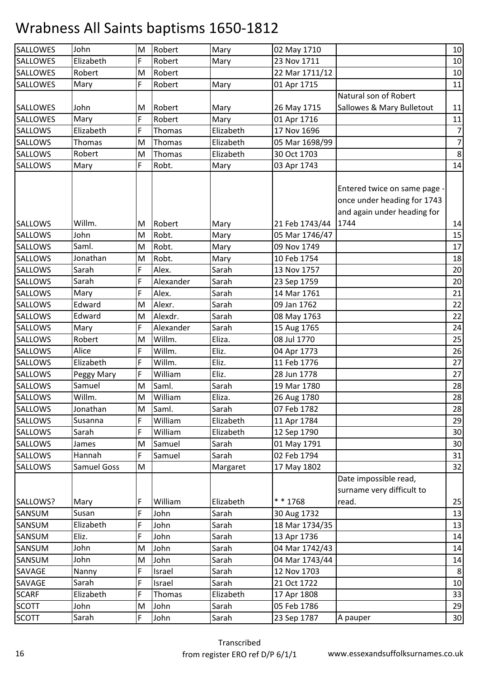| <b>SALLOWES</b> | John        | M | Robert    | Mary      | 02 May 1710    |                                                                                          | 10             |
|-----------------|-------------|---|-----------|-----------|----------------|------------------------------------------------------------------------------------------|----------------|
| <b>SALLOWES</b> | Elizabeth   | F | Robert    | Mary      | 23 Nov 1711    |                                                                                          | 10             |
| <b>SALLOWES</b> | Robert      | M | Robert    |           | 22 Mar 1711/12 |                                                                                          | $10\,$         |
| <b>SALLOWES</b> | Mary        | F | Robert    | Mary      | 01 Apr 1715    |                                                                                          | 11             |
|                 |             |   |           |           |                | Natural son of Robert                                                                    |                |
| <b>SALLOWES</b> | John        | M | Robert    | Mary      | 26 May 1715    | Sallowes & Mary Bulletout                                                                | 11             |
| <b>SALLOWES</b> | Mary        | F | Robert    | Mary      | 01 Apr 1716    |                                                                                          | $11\,$         |
| <b>SALLOWS</b>  | Elizabeth   | F | Thomas    | Elizabeth | 17 Nov 1696    |                                                                                          | $\overline{7}$ |
| <b>SALLOWS</b>  | Thomas      | M | Thomas    | Elizabeth | 05 Mar 1698/99 |                                                                                          | $\overline{7}$ |
| <b>SALLOWS</b>  | Robert      | M | Thomas    | Elizabeth | 30 Oct 1703    |                                                                                          | $\bf 8$        |
| <b>SALLOWS</b>  | Mary        | F | Robt.     | Mary      | 03 Apr 1743    |                                                                                          | 14             |
|                 |             |   |           |           |                | Entered twice on same page<br>once under heading for 1743<br>and again under heading for |                |
| <b>SALLOWS</b>  | Willm.      | M | Robert    | Mary      | 21 Feb 1743/44 | 1744                                                                                     | 14             |
| <b>SALLOWS</b>  | John        | M | Robt.     | Mary      | 05 Mar 1746/47 |                                                                                          | 15             |
| <b>SALLOWS</b>  | Saml.       | M | Robt.     | Mary      | 09 Nov 1749    |                                                                                          | 17             |
| <b>SALLOWS</b>  | Jonathan    | M | Robt.     | Mary      | 10 Feb 1754    |                                                                                          | 18             |
| <b>SALLOWS</b>  | Sarah       | F | Alex.     | Sarah     | 13 Nov 1757    |                                                                                          | 20             |
| <b>SALLOWS</b>  | Sarah       | F | Alexander | Sarah     | 23 Sep 1759    |                                                                                          | 20             |
| <b>SALLOWS</b>  | Mary        | F | Alex.     | Sarah     | 14 Mar 1761    |                                                                                          | 21             |
| <b>SALLOWS</b>  | Edward      | M | Alexr.    | Sarah     | 09 Jan 1762    |                                                                                          | 22             |
| <b>SALLOWS</b>  | Edward      | M | Alexdr.   | Sarah     | 08 May 1763    |                                                                                          | 22             |
| <b>SALLOWS</b>  | Mary        | F | Alexander | Sarah     | 15 Aug 1765    |                                                                                          | 24             |
| <b>SALLOWS</b>  | Robert      | M | Willm.    | Eliza.    | 08 Jul 1770    |                                                                                          | 25             |
| <b>SALLOWS</b>  | Alice       | F | Willm.    | Eliz.     | 04 Apr 1773    |                                                                                          | 26             |
| <b>SALLOWS</b>  | Elizabeth   | F | Willm.    | Eliz.     | 11 Feb 1776    |                                                                                          | 27             |
| <b>SALLOWS</b>  | Peggy Mary  | F | William   | Eliz.     | 28 Jun 1778    |                                                                                          | 27             |
| SALLOWS         | Samuel      | M | Saml.     | Sarah     | 19 Mar 1780    |                                                                                          | 28             |
| <b>SALLOWS</b>  | Willm.      | M | William   | Eliza.    | 26 Aug 1780    |                                                                                          | 28             |
| <b>SALLOWS</b>  | Jonathan    | M | Saml.     | Sarah     | 07 Feb 1782    |                                                                                          | 28             |
| <b>SALLOWS</b>  | Susanna     | F | William   | Elizabeth | 11 Apr 1784    |                                                                                          | 29             |
| <b>SALLOWS</b>  | Sarah       | F | William   | Elizabeth | 12 Sep 1790    |                                                                                          | 30             |
| SALLOWS         | James       | M | Samuel    | Sarah     | 01 May 1791    |                                                                                          | 30             |
| <b>SALLOWS</b>  | Hannah      | F | Samuel    | Sarah     | 02 Feb 1794    |                                                                                          | 31             |
| <b>SALLOWS</b>  | Samuel Goss | M |           | Margaret  | 17 May 1802    |                                                                                          | 32             |
|                 |             |   |           |           |                | Date impossible read,<br>surname very difficult to                                       |                |
| SALLOWS?        | Mary        | F | William   | Elizabeth | * * 1768       | read.                                                                                    | 25             |
| SANSUM          | Susan       | F | John      | Sarah     | 30 Aug 1732    |                                                                                          | 13             |
| SANSUM          | Elizabeth   | F | John      | Sarah     | 18 Mar 1734/35 |                                                                                          | 13             |
| SANSUM          | Eliz.       | F | John      | Sarah     | 13 Apr 1736    |                                                                                          | 14             |
| SANSUM          | John        | M | John      | Sarah     | 04 Mar 1742/43 |                                                                                          | 14             |
| SANSUM          | John        | M | John      | Sarah     | 04 Mar 1743/44 |                                                                                          | 14             |
| SAVAGE          | Nanny       | F | Israel    | Sarah     | 12 Nov 1703    |                                                                                          | 8              |
| SAVAGE          | Sarah       | F | Israel    | Sarah     | 21 Oct 1722    |                                                                                          | 10             |
| <b>SCARF</b>    | Elizabeth   | F | Thomas    | Elizabeth | 17 Apr 1808    |                                                                                          | 33             |
| <b>SCOTT</b>    | John        | M | John      | Sarah     | 05 Feb 1786    |                                                                                          | 29             |
| <b>SCOTT</b>    | Sarah       | F | John      | Sarah     | 23 Sep 1787    | A pauper                                                                                 | 30             |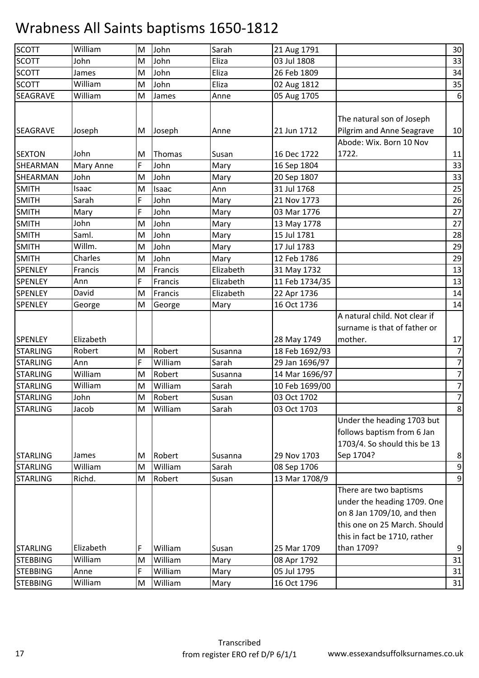| <b>SCOTT</b>    | William          | M  | John    | Sarah     | 21 Aug 1791    |                               | 30               |
|-----------------|------------------|----|---------|-----------|----------------|-------------------------------|------------------|
| <b>SCOTT</b>    | John             | M  | John    | Eliza     | 03 Jul 1808    |                               | 33               |
| <b>SCOTT</b>    | James            | M  | John    | Eliza     | 26 Feb 1809    |                               | 34               |
| <b>SCOTT</b>    | William          | M  | John    | Eliza     | 02 Aug 1812    |                               | 35               |
| <b>SEAGRAVE</b> | William          | M  | James   | Anne      | 05 Aug 1705    |                               | $\boldsymbol{6}$ |
|                 |                  |    |         |           |                | The natural son of Joseph     |                  |
| <b>SEAGRAVE</b> | Joseph           | M  | Joseph  | Anne      | 21 Jun 1712    | Pilgrim and Anne Seagrave     | 10               |
|                 |                  |    |         |           |                | Abode: Wix. Born 10 Nov       |                  |
| <b>SEXTON</b>   | John             | ΙM | Thomas  | Susan     | 16 Dec 1722    | 1722.                         | 11               |
| SHEARMAN        | <b>Mary Anne</b> | F  | John    | Mary      | 16 Sep 1804    |                               | 33               |
| SHEARMAN        | John             | M  | John    | Mary      | 20 Sep 1807    |                               | 33               |
| <b>SMITH</b>    | Isaac            | M  | Isaac   | Ann       | 31 Jul 1768    |                               | 25               |
| <b>SMITH</b>    | Sarah            | F  | John    | Mary      | 21 Nov 1773    |                               | 26               |
| <b>SMITH</b>    | Mary             | F  | John    | Mary      | 03 Mar 1776    |                               | 27               |
| <b>SMITH</b>    | John             | M  | John    | Mary      | 13 May 1778    |                               | 27               |
| <b>SMITH</b>    | Saml.            | M  | John    | Mary      | 15 Jul 1781    |                               | 28               |
| <b>SMITH</b>    | Willm.           | M  | John    | Mary      | 17 Jul 1783    |                               | 29               |
| <b>SMITH</b>    | Charles          | M  | John    | Mary      | 12 Feb 1786    |                               | 29               |
| <b>SPENLEY</b>  | Francis          | M  | Francis | Elizabeth | 31 May 1732    |                               | 13               |
| <b>SPENLEY</b>  | Ann              | F  | Francis | Elizabeth | 11 Feb 1734/35 |                               | 13               |
| SPENLEY         | David            | M  | Francis | Elizabeth | 22 Apr 1736    |                               | 14               |
| SPENLEY         | George           | M  | George  | Mary      | 16 Oct 1736    |                               | 14               |
|                 |                  |    |         |           |                | A natural child. Not clear if |                  |
|                 |                  |    |         |           |                | surname is that of father or  |                  |
| <b>SPENLEY</b>  | Elizabeth        |    |         |           | 28 May 1749    | mother.                       | 17               |
| <b>STARLING</b> | Robert           | M  | Robert  | Susanna   | 18 Feb 1692/93 |                               | $\overline{7}$   |
| <b>STARLING</b> | Ann              | F  | William | Sarah     | 29 Jan 1696/97 |                               | $\overline{z}$   |
| <b>STARLING</b> | William          | M  | Robert  | Susanna   | 14 Mar 1696/97 |                               | $\overline{7}$   |
| <b>STARLING</b> | William          | M  | William | Sarah     | 10 Feb 1699/00 |                               | $\overline{7}$   |
| <b>STARLING</b> | John             | M  | Robert  | Susan     | 03 Oct 1702    |                               | $\overline{7}$   |
| <b>STARLING</b> | Jacob            | M  | William | Sarah     | 03 Oct 1703    |                               | 8 <sup>1</sup>   |
|                 |                  |    |         |           |                | Under the heading 1703 but    |                  |
|                 |                  |    |         |           |                | follows baptism from 6 Jan    |                  |
|                 |                  |    |         |           |                | 1703/4. So should this be 13  |                  |
| <b>STARLING</b> | James            | M  | Robert  | Susanna   | 29 Nov 1703    | Sep 1704?                     | 8                |
| <b>STARLING</b> | William          | M  | William | Sarah     | 08 Sep 1706    |                               | $\boldsymbol{9}$ |
| <b>STARLING</b> | Richd.           | M  | Robert  | Susan     | 13 Mar 1708/9  |                               | $\overline{9}$   |
|                 |                  |    |         |           |                | There are two baptisms        |                  |
|                 |                  |    |         |           |                | under the heading 1709. One   |                  |
|                 |                  |    |         |           |                | on 8 Jan 1709/10, and then    |                  |
|                 |                  |    |         |           |                | this one on 25 March. Should  |                  |
|                 |                  |    |         |           |                | this in fact be 1710, rather  |                  |
| <b>STARLING</b> | Elizabeth        | F  | William | Susan     | 25 Mar 1709    | than 1709?                    | $9\,$            |
| <b>STEBBING</b> | William          | M  | William | Mary      | 08 Apr 1792    |                               | 31               |
| <b>STEBBING</b> | Anne             | F  | William | Mary      | 05 Jul 1795    |                               | 31               |
| <b>STEBBING</b> | William          | M  | William | Mary      | 16 Oct 1796    |                               | 31               |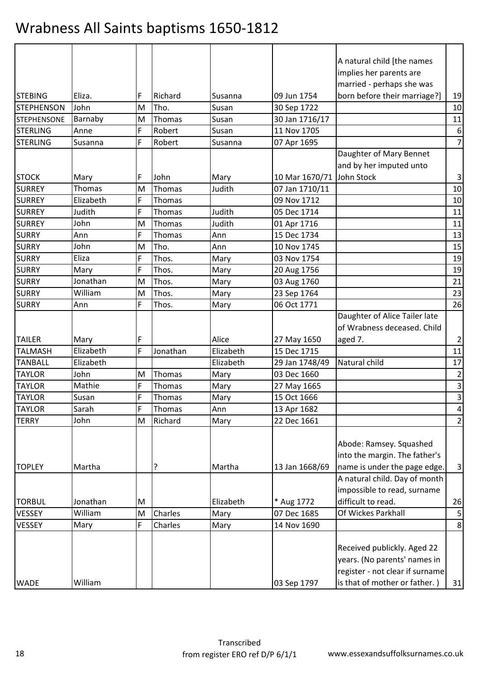|                    |           |   |          |           |                | A natural child [the names      |                         |
|--------------------|-----------|---|----------|-----------|----------------|---------------------------------|-------------------------|
|                    |           |   |          |           |                | implies her parents are         |                         |
|                    |           |   |          |           |                | married - perhaps she was       |                         |
| <b>STEBING</b>     | Eliza.    | F | Richard  | Susanna   | 09 Jun 1754    | born before their marriage?]    | 19                      |
| <b>STEPHENSON</b>  | John      | M | Tho.     | Susan     | 30 Sep 1722    |                                 | 10                      |
| <b>STEPHENSONE</b> | Barnaby   | M | Thomas   | Susan     | 30 Jan 1716/17 |                                 | 11                      |
| <b>STERLING</b>    | Anne      | F | Robert   | Susan     | 11 Nov 1705    |                                 | $\boldsymbol{6}$        |
| <b>STERLING</b>    | Susanna   | F | Robert   | Susanna   | 07 Apr 1695    |                                 | $\overline{7}$          |
|                    |           |   |          |           |                | Daughter of Mary Bennet         |                         |
|                    |           |   |          |           |                | and by her imputed unto         |                         |
| <b>STOCK</b>       | Mary      | F | John     | Mary      | 10 Mar 1670/71 | John Stock                      | $\mathbf{3}$            |
| <b>SURREY</b>      | Thomas    | M | Thomas   | Judith    | 07 Jan 1710/11 |                                 | 10                      |
| <b>SURREY</b>      | Elizabeth | F | Thomas   |           | 09 Nov 1712    |                                 | 10                      |
| <b>SURREY</b>      | Judith    | F | Thomas   | Judith    | 05 Dec 1714    |                                 | 11                      |
| <b>SURREY</b>      | John      | M | Thomas   | Judith    | 01 Apr 1716    |                                 | 11                      |
| <b>SURRY</b>       | Ann       | F | Thomas   | Ann       | 15 Dec 1734    |                                 | 13                      |
| <b>SURRY</b>       | John      | M | Tho.     | Ann       | 10 Nov 1745    |                                 | 15                      |
| <b>SURRY</b>       | Eliza     | F | Thos.    | Mary      | 03 Nov 1754    |                                 | 19                      |
| <b>SURRY</b>       | Mary      | F | Thos.    | Mary      | 20 Aug 1756    |                                 | 19                      |
| <b>SURRY</b>       | Jonathan  | M | Thos.    | Mary      | 03 Aug 1760    |                                 | 21                      |
| <b>SURRY</b>       | William   | M | Thos.    | Mary      | 23 Sep 1764    |                                 | 23                      |
| <b>SURRY</b>       | Ann       | F | Thos.    | Mary      | 06 Oct 1771    |                                 | 26                      |
|                    |           |   |          |           |                | Daughter of Alice Tailer late   |                         |
|                    |           |   |          |           |                | of Wrabness deceased. Child     |                         |
| <b>TAILER</b>      | Mary      | F |          | Alice     | 27 May 1650    | aged 7.                         | $\overline{2}$          |
| <b>TALMASH</b>     | Elizabeth | F | Jonathan | Elizabeth | 15 Dec 1715    |                                 | 11                      |
| <b>TANBALL</b>     | Elizabeth |   |          | Elizabeth | 29 Jan 1748/49 | Natural child                   | 17                      |
| <b>TAYLOR</b>      | John      | M | Thomas   | Mary      | 03 Dec 1660    |                                 | $\overline{a}$          |
| <b>TAYLOR</b>      | Mathie    | F | Thomas   | Mary      | 27 May 1665    |                                 | $\overline{\mathbf{3}}$ |
| <b>TAYLOR</b>      | Susan     | F | Thomas   | Mary      | 15 Oct 1666    |                                 | $\overline{\mathbf{3}}$ |
| <b>TAYLOR</b>      | Sarah     | F | Thomas   | Ann       | 13 Apr 1682    |                                 | $\overline{a}$          |
| <b>TERRY</b>       | John      | M | Richard  | Mary      | 22 Dec 1661    |                                 | $\overline{2}$          |
|                    |           |   |          |           |                |                                 |                         |
|                    |           |   |          |           |                | Abode: Ramsey. Squashed         |                         |
|                    |           |   |          |           |                | into the margin. The father's   |                         |
| <b>TOPLEY</b>      | Martha    |   | ?        | Martha    | 13 Jan 1668/69 | name is under the page edge.    | $\mathbf{3}$            |
|                    |           |   |          |           |                | A natural child. Day of month   |                         |
|                    |           |   |          |           |                | impossible to read, surname     |                         |
| <b>TORBUL</b>      | Jonathan  | M |          | Elizabeth | * Aug 1772     | difficult to read.              | 26                      |
| VESSEY             | William   | M | Charles  | Mary      | 07 Dec 1685    | Of Wickes Parkhall              | $\mathsf S$             |
| VESSEY             | Mary      | F | Charles  | Mary      | 14 Nov 1690    |                                 | $\bf 8$                 |
|                    |           |   |          |           |                |                                 |                         |
|                    |           |   |          |           |                | Received publickly. Aged 22     |                         |
|                    |           |   |          |           |                | years. (No parents' names in    |                         |
|                    |           |   |          |           |                | register - not clear if surname |                         |
| <b>WADE</b>        | William   |   |          |           | 03 Sep 1797    | is that of mother or father.)   | 31                      |